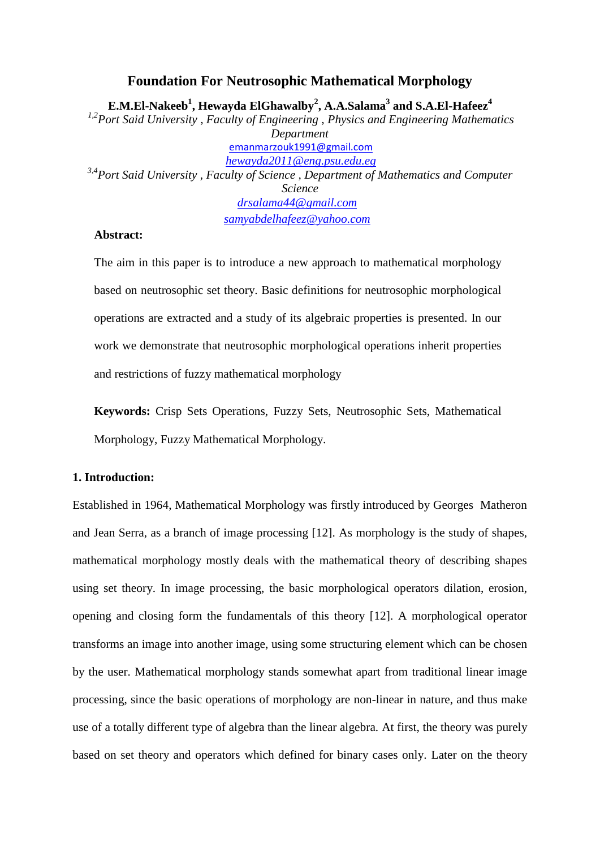# **Foundation For Neutrosophic Mathematical Morphology E.M.El-Nakeeb<sup>1</sup> , Hewayda ElGhawalby<sup>2</sup> , A.A.Salama<sup>3</sup> and S.A.El-Hafeez<sup>4</sup>** *1,2 Port Said University , Faculty of Engineering , Physics and Engineering Mathematics Department* emanmarzouk1991@gmail.com *[hewayda2011@eng.psu.edu.eg](mailto:hewayda2011@eng.psu.edu.eg) 3,4Port Said University , Faculty of Science , Department of Mathematics and Computer Science [drsalama44@gmail.com](mailto:drsalama44@gmail.com) samyabdelhafeez@yahoo.com*

#### **Abstract:**

The aim in this paper is to introduce a new approach to mathematical morphology based on neutrosophic set theory. Basic definitions for neutrosophic morphological operations are extracted and a study of its algebraic properties is presented. In our work we demonstrate that neutrosophic morphological operations inherit properties and restrictions of fuzzy mathematical morphology

**Keywords:** Crisp Sets Operations, Fuzzy Sets, Neutrosophic Sets, Mathematical Morphology, Fuzzy Mathematical Morphology.

## **1. Introduction:**

Established in 1964, Mathematical Morphology was firstly introduced by Georges Matheron and Jean Serra, as a branch of image processing [\[12\]](#page-22-0). As morphology is the study of shapes, mathematical morphology mostly deals with the mathematical theory of describing shapes using set theory. In image processing, the basic morphological operators dilation, erosion, opening and closing form the fundamentals of this theory [\[12\]](#page-22-0). A morphological operator transforms an image into another image, using some structuring element which can be chosen by the user. Mathematical morphology stands somewhat apart from traditional linear image processing, since the basic operations of morphology are non-linear in nature, and thus make use of a totally different type of algebra than the linear algebra. At first, the theory was purely based on set theory and operators which defined for binary cases only. Later on the theory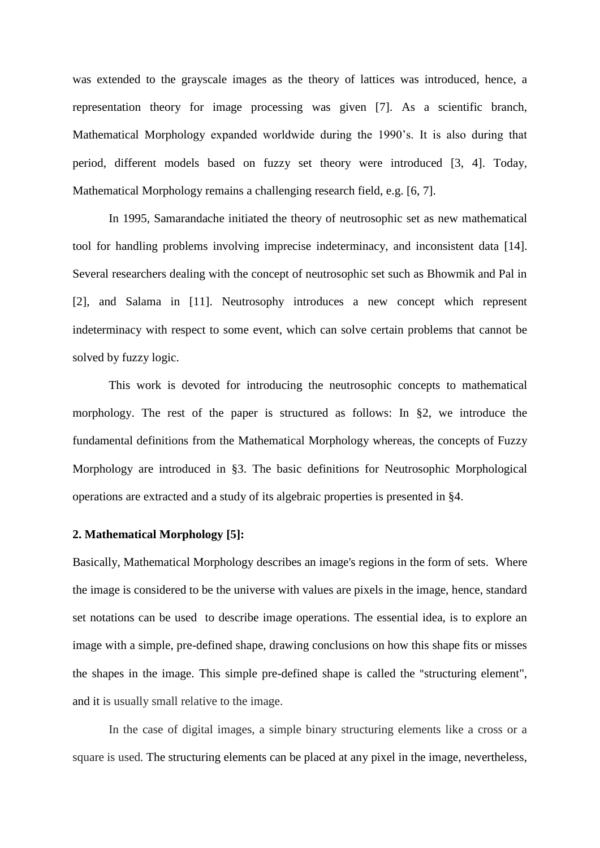was extended to the grayscale images as the theory of lattices was introduced, hence, a representation theory for image processing was given [\[7\]](#page-21-0). As a scientific branch, Mathematical Morphology expanded worldwide during the 1990's. It is also during that period, different models based on fuzzy set theory were introduced [\[3,](#page-21-1) [4\]](#page-21-2). Today, Mathematical Morphology remains a challenging research field, e.g. [\[6,](#page-21-3) [7\]](#page-21-0).

In 1995, Samarandache initiated the theory of neutrosophic set as new mathematical tool for handling problems involving imprecise indeterminacy, and inconsistent data [\[14\]](#page-22-1). Several researchers dealing with the concept of neutrosophic set such as Bhowmik and Pal in [\[2\]](#page-21-4), and Salama in [\[11\]](#page-22-2). Neutrosophy introduces a new concept which represent indeterminacy with respect to some event, which can solve certain problems that cannot be solved by fuzzy logic.

This work is devoted for introducing the neutrosophic concepts to mathematical morphology. The rest of the paper is structured as follows: In §2, we introduce the fundamental definitions from the Mathematical Morphology whereas, the concepts of Fuzzy Morphology are introduced in §3. The basic definitions for Neutrosophic Morphological operations are extracted and a study of its algebraic properties is presented in §4.

# **2. Mathematical Morphology [\[5\]](#page-21-5):**

Basically, Mathematical Morphology describes an image's regions in the form of sets. Where the image is considered to be the universe with values are pixels in the image, hence, standard set notations can be used to describe image operations. The essential idea, is to explore an image with a simple, pre-defined shape, drawing conclusions on how this shape fits or misses the shapes in the image. This simple pre-defined shape is called the "[structuring element"](https://en.wikipedia.org/wiki/Structuring_element), and it is usually small relative to the image.

In the case of digital images, a simple binary structuring elements like a cross or a square is used. The structuring elements can be placed at any pixel in the image, nevertheless,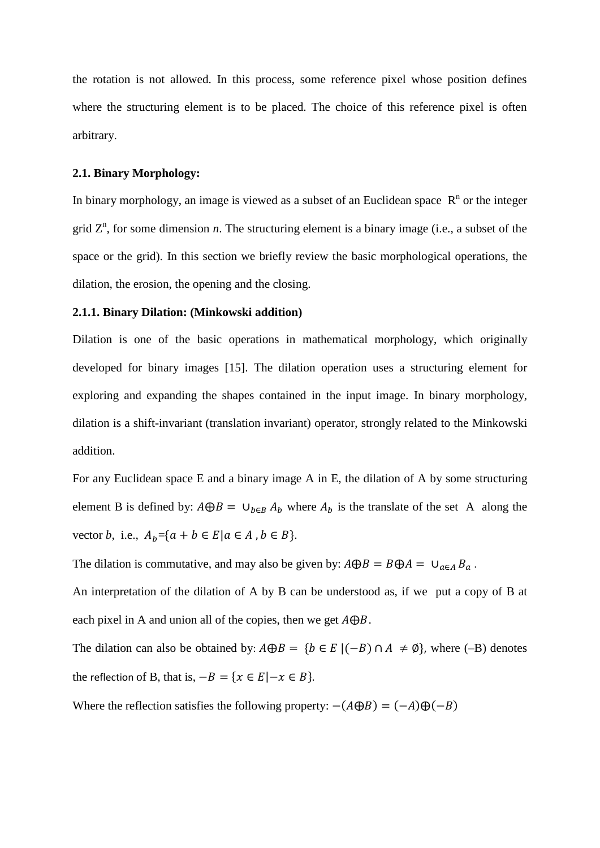the rotation is not allowed. In this process, some reference pixel whose position defines where the structuring element is to be placed. The choice of this reference pixel is often arbitrary.

# **2.1. Binary Morphology:**

In binary morphology, an image is viewed as a [subset](https://en.wikipedia.org/wiki/Subset) of an [Euclidean space](https://en.wikipedia.org/wiki/Euclidean_space)  $R<sup>n</sup>$  or the integer grid  $Z<sup>n</sup>$ , for some dimension *n*. The [structuring element](https://en.wikipedia.org/wiki/Structuring_element) is a binary image (i.e., a subset of the space or the grid). In this section we briefly review the basic morphological operations, the dilation, the erosion, the opening and the closing.

# **2.1.1. Binary Dilation: (Minkowski addition)**

Dilation is one of the basic operations in [mathematical morphology,](https://en.wikipedia.org/wiki/Mathematical_morphology) which originally developed for [binary images](https://en.wikipedia.org/wiki/Binary_images) [\[15\]](#page-22-3). The dilation operation uses a [structuring element](https://en.wikipedia.org/wiki/Structuring_element) for exploring and expanding the shapes contained in the input image. In binary morphology, dilation is a shift-invariant [\(translation invariant\)](https://en.wikipedia.org/wiki/Translational_invariance) operator, strongly related to the [Minkowski](https://en.wikipedia.org/wiki/Minkowski_addition)  [addition.](https://en.wikipedia.org/wiki/Minkowski_addition)

For any Euclidean space E and a binary image A in E, the [dilation](https://en.wikipedia.org/wiki/Dilation_%28morphology%29) of A by some structuring element B is defined by:  $A \oplus B = \bigcup_{b \in B} A_b$  where  $A_b$  is the translate of the set A along the vector *b*, i.e.,  $A_b = \{a + b \in E | a \in A, b \in B\}.$ 

The dilation is commutative, and may also be given by:  $A \oplus B = B \oplus A = \bigcup_{a \in A} B_a$ .

An interpretation of the dilation of A by B can be understood as, if we put a copy of B at each pixel in A and union all of the copies, then we get  $A \oplus B$ .

The dilation can also be obtained by:  $A \oplus B = \{b \in E \mid (-B) \cap A \neq \emptyset\}$ , where (-B) denotes the reflection of B, that is,  $-B = \{x \in E | -x \in B\}.$ 

Where the reflection satisfies the following property:  $-(A \oplus B) = (-A) \oplus (-B)$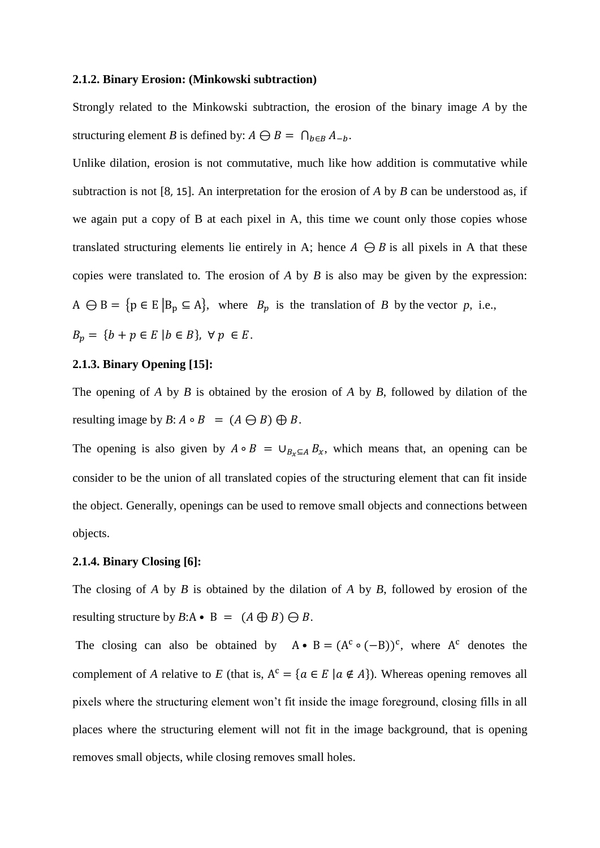#### **2.1.2. Binary Erosion: (Minkowski subtraction)**

Strongly related to the [Minkowski subtraction,](https://en.wikipedia.org/wiki/Minkowski_addition) the [erosion](https://en.wikipedia.org/wiki/Erosion_%28morphology%29) of the binary image *A* by the structuring element *B* is defined by:  $A \bigoplus B = \bigcap_{b \in B} A_{-b}$ .

Unlike dilation, erosion is not commutative, much like how addition is commutative while subtraction is not [\[8](#page-21-6), [15](#page-22-3)]. An interpretation for the erosion of *A* by *B* can be understood as, if we again put a copy of B at each pixel in A, this time we count only those copies whose translated structuring elements lie entirely in A; hence  $A \ominus B$  is all pixels in A that these copies were translated to. The erosion of *A* by *B* is also may be given by the expression: A  $\ominus$  B = { $p \in E | B_p \subseteq A$ }, where  $B_p$  is the translation of *B* by the vector *p*, i.e.,  $B_p = \{ b + p \in E \mid b \in B \}, \ \forall \ p \in E.$ 

#### **2.1.3. Binary Opening [\[15\]](#page-22-3):**

The [opening](https://en.wikipedia.org/wiki/Opening_%28morphology%29) of *A* by *B* is obtained by the erosion of *A* by *B*, followed by dilation of the resulting image by  $B: A \circ B = (A \ominus B) \oplus B$ .

The opening is also given by  $A \circ B = \bigcup_{B_x \subseteq A} B_x$ , which means that, an opening can be consider to be the union of all translated copies of the structuring element that can fit inside the object. Generally, openings can be used to remove small objects and connections between objects.

#### **2.1.4. Binary Closing [\[6\]](#page-21-3):**

The [closing](https://en.wikipedia.org/wiki/Closing_%28morphology%29) of *A* by *B* is obtained by the dilation of *A* by *B*, followed by erosion of the resulting structure by  $B: A \bullet B = (A \oplus B) \ominus B$ .

The closing can also be obtained by  $A \cdot B = (A^c \circ (-B))^c$ , where  $A^c$  denotes the [complement](https://en.wikipedia.org/wiki/Complement_%28set_theory%29) of *A* relative to *E* (that is,  $A^c = \{a \in E \mid a \notin A\}$ ). Whereas opening removes all pixels where the structuring element won't fit inside the image foreground, closing fills in all places where the structuring element will not fit in the image background, that is opening removes small objects, while closing removes small holes.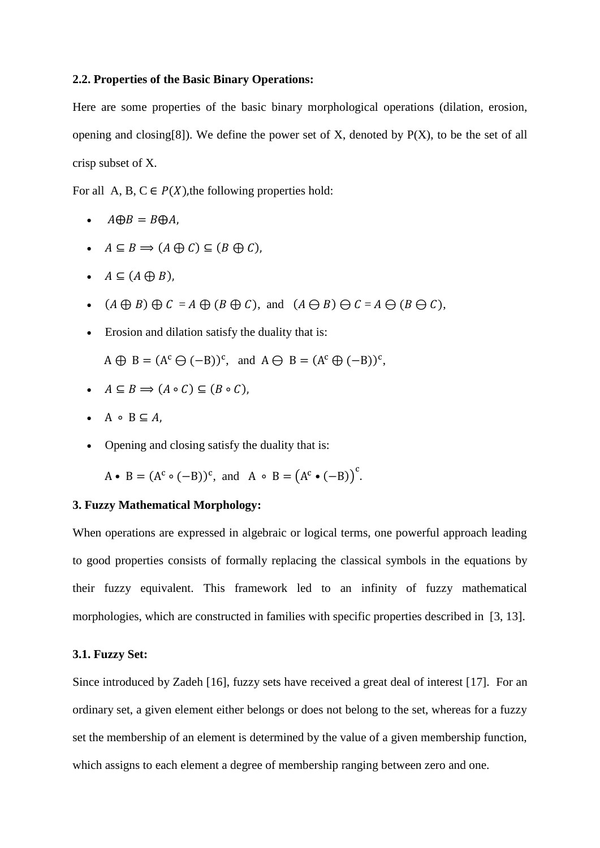## **2.2. Properties of the Basic Binary Operations:**

Here are some properties of the basic binary morphological operations (dilation, erosion, opening and closing[\[8\]](#page-21-6)). We define the power set of X, denoted by  $P(X)$ , to be the set of all crisp subset of X.

For all A, B,  $C \in P(X)$ , the following properties hold:

- $\cdot$   $A \oplus B = B \oplus A$ ,
- $A \subseteq B \implies (A \bigoplus C) \subseteq (B \bigoplus C)$ ,
- $A \subseteq (A \oplus B)$ ,
- $(A \oplus B) \oplus C = A \oplus (B \oplus C)$ , and  $(A \ominus B) \ominus C = A \ominus (B \ominus C)$ ,
- Erosion and dilation satisfy the duality that is:
- $A \oplus B = (A^c \ominus (-B))^c$ , and  $A \ominus B = (A^c \oplus (-B))^c$ ,
- $A \subseteq B \implies (A \circ C) \subseteq (B \circ C),$
- $\bullet$  A  $\circ$  B  $\subseteq$  A.
- Opening and closing satisfy the duality that is:

 $A \bullet B = (A^c \circ (-B))^c$ , and  $A \circ B = (A^c \bullet (-B))^c$ .

# **3. Fuzzy Mathematical Morphology:**

When operations are expressed in algebraic or logical terms, one powerful approach leading to good properties consists of formally replacing the classical symbols in the equations by their fuzzy equivalent. This framework led to an infinity of fuzzy mathematical morphologies, which are constructed in families with specific properties described in [\[3,](#page-21-1) [13\]](#page-22-4).

#### **3.1. Fuzzy Set:**

Since introduced by Zadeh [\[16\]](#page-22-5), fuzzy sets have received a great deal of interest [\[17\]](#page-22-6). For an ordinary set, a given element either belongs or does not belong to the set, whereas for a fuzzy set the membership of an element is determined by the value of a given membership function, which assigns to each element a degree of membership ranging between zero and one.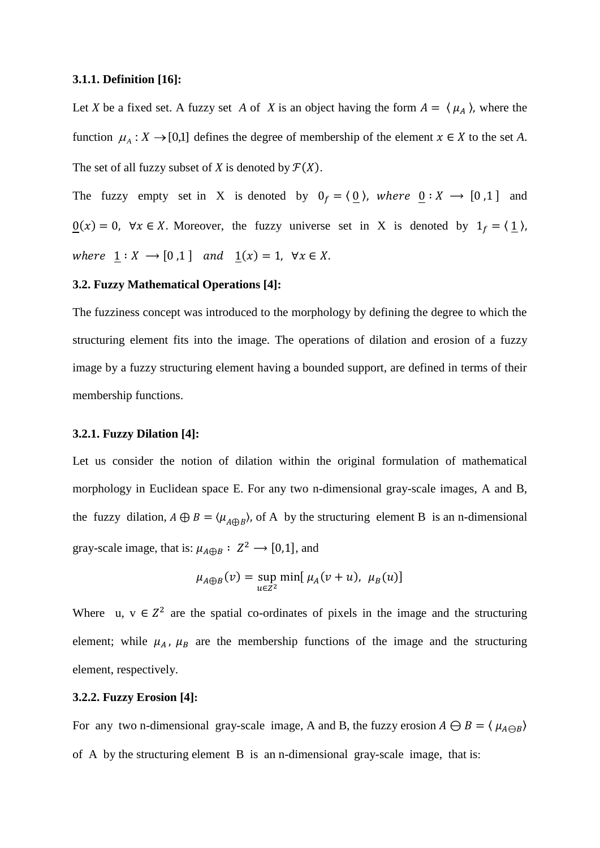### **3.1.1. Definition [\[16\]](#page-22-5):**

Let *X* be a fixed set. A fuzzy set *A* of *X* is an object having the form  $A = \langle \mu_A \rangle$ , where the function  $\mu_A : X \to [0,1]$  defines the degree of membership of the element  $x \in X$  to the set A. The set of all fuzzy subset of *X* is denoted by  $\mathcal{F}(X)$ .

The fuzzy empty set in X is denoted by  $0_f = \langle 0 \rangle$ , where  $0: X \rightarrow [0, 1]$  and  $\underline{0}(x) = 0$ ,  $\forall x \in X$ . Moreover, the fuzzy universe set in X is denoted by  $1_f = \langle 1 \rangle$ , where  $\underline{1} : X \longrightarrow [0,1]$  and  $\underline{1}(x) = 1$ ,  $\forall x \in X$ .

# **3.2. Fuzzy Mathematical Operations [\[4\]](#page-21-2):**

The fuzziness concept was introduced to the morphology by defining the degree to which the structuring element fits into the image. The operations of dilation and erosion of a fuzzy image by a fuzzy structuring element having a bounded support, are defined in terms of their membership functions.

#### **3.2.1. Fuzzy Dilation [\[4\]](#page-21-2):**

Let us consider the notion of dilation within the original formulation of mathematical morphology in Euclidean space E. For any two n-dimensional gray-scale images, A and B, the fuzzy dilation,  $A \oplus B = \langle \mu_{A \oplus B} \rangle$ , of A by the structuring element B is an n-dimensional gray-scale image, that is:  $\mu_{A \oplus B} : Z^2 \longrightarrow [0,1]$ , and

$$
\mu_{A\oplus B}(v) = \sup_{u \in Z^2} \min[\mu_A(v+u), \ \mu_B(u)]
$$

Where u,  $v \in Z^2$  are the spatial co-ordinates of pixels in the image and the structuring element; while  $\mu_A$ ,  $\mu_B$  are the membership functions of the image and the structuring element, respectively.

#### **3.2.2. Fuzzy Erosion [\[4\]](#page-21-2):**

For any two n-dimensional gray-scale image, A and B, the fuzzy erosion  $A \ominus B = \langle \mu_{A \ominus B} \rangle$ of A by the structuring element B is an n-dimensional gray-scale image, that is: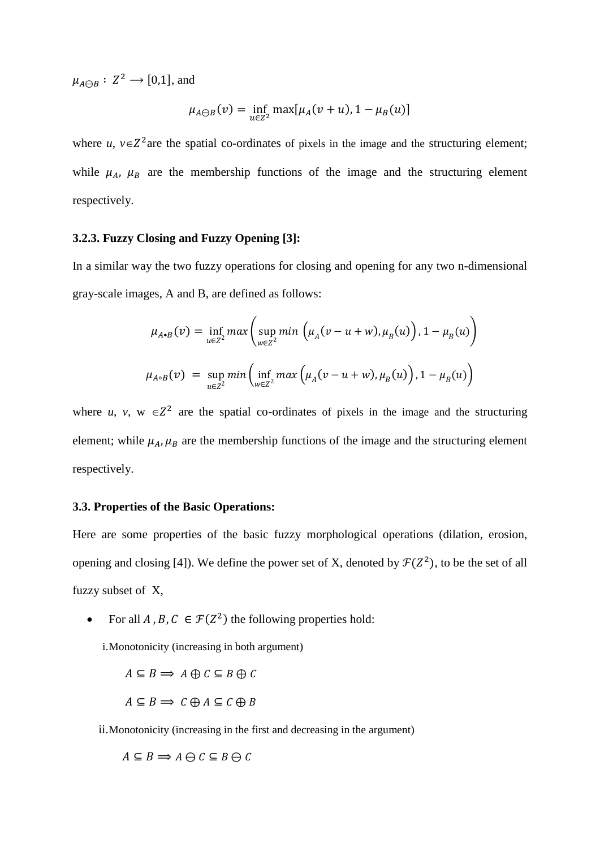$\mu_{A\bigoplus B}: Z^2 \longrightarrow [0,1],$  and

$$
\mu_{A\ominus B}(v) = \inf_{u\in Z^2} \max[\mu_A(v+u), 1-\mu_B(u)]
$$

where *u*,  $v \in Z^2$  are the spatial co-ordinates of pixels in the image and the structuring element; while  $\mu_A$ ,  $\mu_B$  are the membership functions of the image and the structuring element respectively.

# **3.2.3. Fuzzy Closing and Fuzzy Opening [\[3\]](#page-21-1):**

In a similar way the two fuzzy operations for closing and opening for any two n-dimensional gray-scale images, A and B, are defined as follows:

$$
\mu_{A\bullet B}(v) = \inf_{u \in Z^2} max \left( \sup_{w \in Z^2} min \left( \mu_A(v - u + w), \mu_B(u) \right), 1 - \mu_B(u) \right)
$$
  

$$
\mu_{A\bullet B}(v) = \sup_{u \in Z^2} min \left( \inf_{w \in Z^2} max \left( \mu_A(v - u + w), \mu_B(u) \right), 1 - \mu_B(u) \right)
$$

where *u*, *v*,  $w \in \mathbb{Z}^2$  are the spatial co-ordinates of pixels in the image and the structuring element; while  $\mu_A$ ,  $\mu_B$  are the membership functions of the image and the structuring element respectively.

## **3.3. Properties of the Basic Operations:**

Here are some properties of the basic fuzzy morphological operations (dilation, erosion, opening and closing [\[4\]](#page-21-2)). We define the power set of X, denoted by  $\mathcal{F}(Z^2)$ , to be the set of all fuzzy subset of X,

• For all A, B,  $C \in \mathcal{F}(Z^2)$  the following properties hold:

i.Monotonicity (increasing in both argument)

$$
A \subseteq B \implies A \oplus C \subseteq B \oplus C
$$

$$
A \subseteq B \implies C \oplus A \subseteq C \oplus B
$$

ii.Monotonicity (increasing in the first and decreasing in the argument)

 $A \subseteq B \implies A \ominus C \subseteq B \ominus C$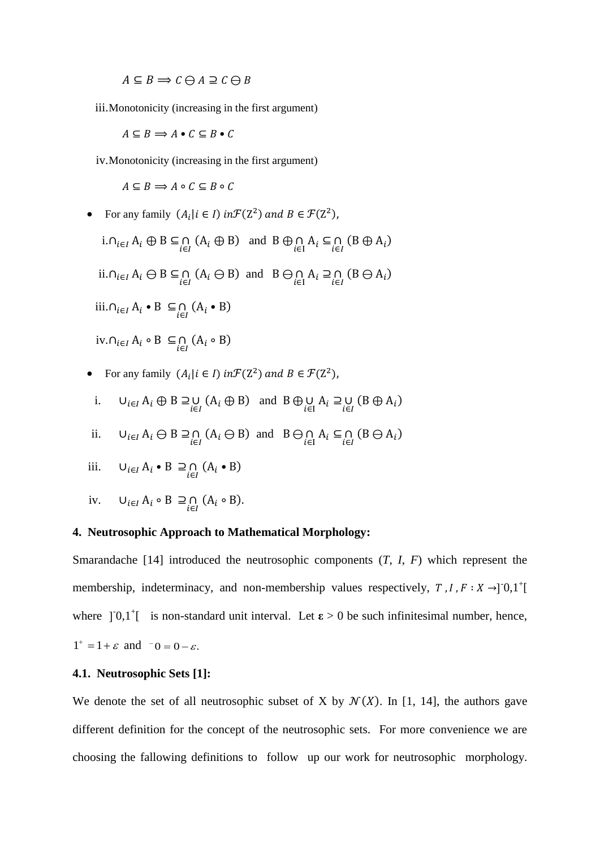$A \subseteq B \implies C \ominus A \supseteq C \ominus B$ 

iii.Monotonicity (increasing in the first argument)

 $A \subseteq B \implies A \bullet C \subseteq B \bullet C$ 

iv.Monotonicity (increasing in the first argument)

 $A \subseteq B \implies A \circ C \subseteq B \circ C$ 

- For any family  $(A_i | i \in I)$  in  $\mathcal{F}(Z^2)$  and  $B \in \mathcal{F}(Z^2)$ ,
	- i.  $\cap_{i \in I} A_i \oplus B \subseteq \bigcap_{i \in I} (A_i \oplus B)$  and  $B \oplus \bigcap_{i \in I} A_i \subseteq \bigcap_{i \in I} (B \oplus A_i)$ ii.∩<sub>i∈I</sub>  $A_i \ominus B \subseteq \bigcap_{i \in I} (A_i \ominus B)$  and  $B \ominus \bigcap_{i \in I} A_i \supseteq \bigcap_{i \in I} (B \ominus A_i)$ iii.∩<sub>*i*∈*I*</sub> A<sub>*i*</sub> • B ⊆∩ (A<sub>*i*</sub> • B) iv.∩<sub>*i*∈*I*</sub> A<sub>*i*</sub>  $\circ$  B  $\subseteq$   $\cap$  (A<sub>*i*</sub>  $\circ$  B)
- For any family  $(A_i | i \in I)$  in  $\mathcal{F}(Z^2)$  and  $B \in \mathcal{F}(Z^2)$ ,
- i.  $\bigcup_{i \in I} A_i \oplus B \supseteq \bigcup_{i \in I} (A_i \oplus B)$  and  $B \oplus \bigcup_{i \in I} A_i \supseteq \bigcup_{i \in I} (B \oplus A_i)$
- ii.  $\bigcup_{i \in I} A_i \ominus B \supseteq_{\bigcap_{i \in I}} (A_i \ominus B)$  and  $B \ominus_{\bigcap_{i \in I}} A_i \subseteq_{\bigcap_{i \in I}} (B \ominus A_i)$

iii. 
$$
\bigcup_{i \in I} A_i \cdot B \supseteq \bigcap_{i \in I} (A_i \cdot B)
$$

iv.  $\bigcup_{i \in I} A_i \circ B \supseteq_{i \in I} (A_i \circ B)$ .

### **4. Neutrosophic Approach to Mathematical Morphology:**

Smarandache [\[14\]](#page-22-1) introduced the neutrosophic components (*T*, *I*, *F*) which represent the membership, indeterminacy, and non-membership values respectively,  $T, I, F: X \rightarrow ]0,1^+[$ where  $] 0,1^{\dagger}$  is non-standard unit interval. Let  $\epsilon > 0$  be such infinitesimal number, hence,  $1^+ = 1 + \varepsilon$  and  $-0 = 0 - \varepsilon$ .

## **4.1. Neutrosophic Sets [\[1\]](#page-21-7):**

We denote the set of all neutrosophic subset of X by  $\mathcal{N}(X)$ . In [\[1,](#page-21-7) [14\]](#page-22-1), the authors gave different definition for the concept of the neutrosophic sets. For more convenience we are choosing the fallowing definitions to follow up our work for neutrosophic morphology.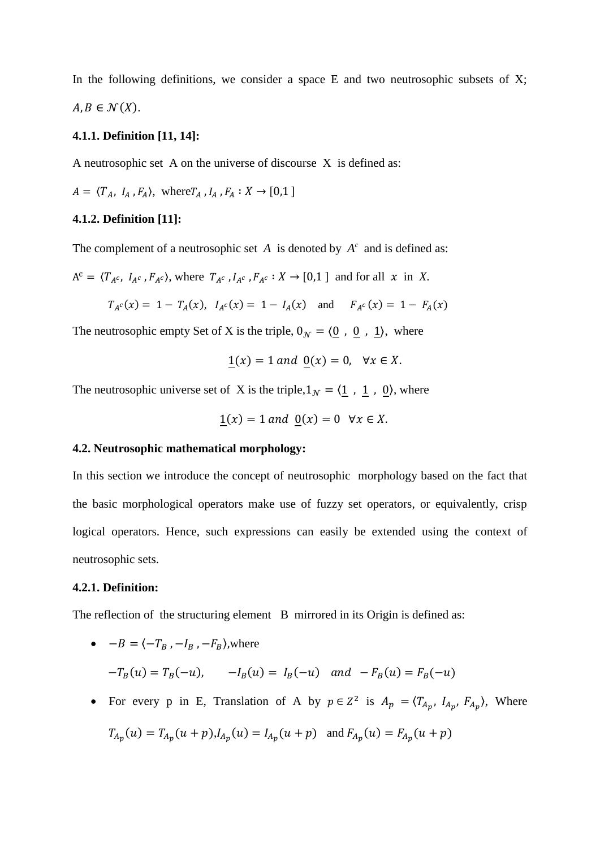In the following definitions, we consider a space  $E$  and two neutrosophic subsets of  $X$ ;  $A, B \in \mathcal{N}(X)$ .

## **4.1.1. Definition [\[11,](#page-22-2) [14\]](#page-22-1):**

A neutrosophic set A on the universe of discourse X is defined as:

$$
A = \langle T_A, I_A, F_A \rangle, \text{ where } T_A, I_A, F_A: X \to [0,1]
$$

## **4.1.2. Definition [\[11\]](#page-22-2):**

The complement of a neutrosophic set  $A$  is denoted by  $A<sup>c</sup>$  and is defined as:

$$
A^{c} = \langle T_{A^{c}}, I_{A^{c}}, F_{A^{c}} \rangle, \text{ where } T_{A^{c}}, I_{A^{c}}, F_{A^{c}} : X \to [0,1] \text{ and for all } x \text{ in } X.
$$

$$
T_{A^c}(x) = 1 - T_A(x), I_{A^c}(x) = 1 - I_A(x)
$$
 and  $F_{A^c}(x) = 1 - F_A(x)$ 

The neutrosophic empty Set of X is the triple,  $0_{\mathcal{N}} = \langle 0, 0, 1 \rangle$ , where

$$
\underline{1}(x) = 1 \text{ and } \underline{0}(x) = 0, \forall x \in X.
$$

The neutrosophic universe set of X is the triple,  $1_N = \langle \underline{1}$ ,  $\underline{1}$ ,  $\underline{0}$ ), where

$$
\underline{1}(x) = 1 \text{ and } \underline{0}(x) = 0 \quad \forall x \in X.
$$

### **4.2. Neutrosophic mathematical morphology:**

In this section we introduce the concept of neutrosophic morphology based on the fact that the basic morphological operators make use of fuzzy set operators, or equivalently, crisp logical operators. Hence, such expressions can easily be extended using the context of neutrosophic sets.

#### **4.2.1. Definition:**

The reflection of the structuring element B mirrored in its Origin is defined as:

- $B = \langle -T_B, -I_B, -F_B \rangle$ , where  $-T_B(u) = T_B(-u)$ ,  $-I_B(u) = I_B(-u)$  and  $-F_B(u) = F_B(-u)$
- For every p in E, Translation of A by  $p \in \mathbb{Z}^2$  is  $A_p = \langle T_{A_p}, I_{A_p}, F_{A_p} \rangle$ , Where

$$
T_{A_p}(u) = T_{A_p}(u+p), I_{A_p}(u) = I_{A_p}(u+p) \text{ and } F_{A_p}(u) = F_{A_p}(u+p)
$$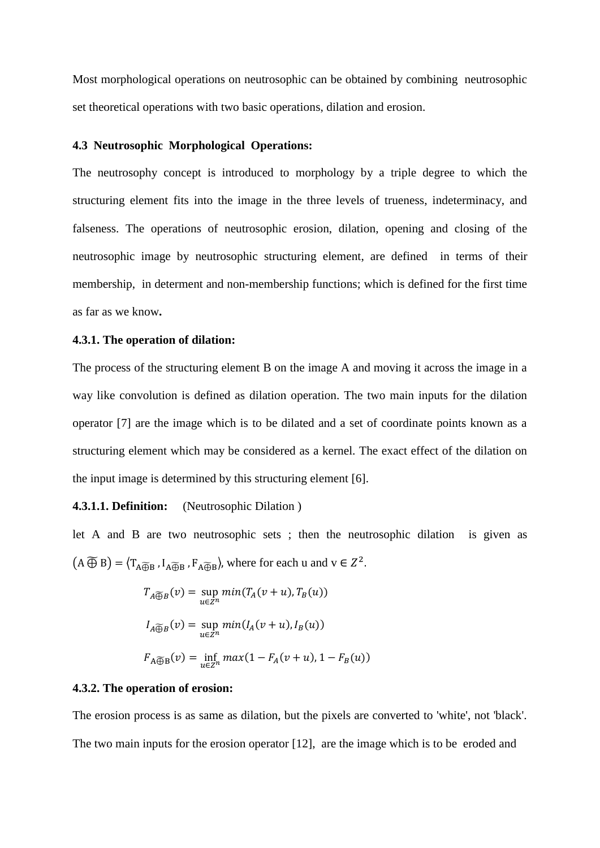Most morphological operations on neutrosophic can be obtained by combining neutrosophic set theoretical operations with two basic operations, dilation and erosion.

# **4.3 Neutrosophic Morphological Operations:**

The neutrosophy concept is introduced to morphology by a triple degree to which the structuring element fits into the image in the three levels of trueness, indeterminacy, and falseness. The operations of neutrosophic erosion, dilation, opening and closing of the neutrosophic image by neutrosophic structuring element, are defined in terms of their membership, in determent and non-membership functions; which is defined for the first time as far as we know**.**

#### **4.3.1. The operation of dilation:**

The process of the structuring element B on the image A and moving it across the image in a way like convolution is defined as dilation operation. The two main inputs for the dilation operator [\[7\]](#page-21-0) are the image which is to be dilated and a set of coordinate points known as a structuring element which may be considered as a kernel. The exact effect of the dilation on the input image is determined by this structuring element [\[6\]](#page-21-3).

### **4.3.1.1. Definition:** (Neutrosophic Dilation )

let A and B are two neutrosophic sets ; then the neutrosophic dilation is given as  $(A \widetilde{\oplus} B) = \langle T_{A \widetilde{\oplus} B}, I_{A \widetilde{\oplus} B}, F_{A \widetilde{\oplus} B} \rangle$ , where for each u and  $v \in Z^2$ .

$$
T_{A \overline{\bigoplus} B}(v) = \sup_{u \in Z^n} \min(T_A(v+u), T_B(u))
$$
  
\n
$$
I_{A \overline{\bigoplus} B}(v) = \sup_{u \in Z^n} \min(I_A(v+u), I_B(u))
$$
  
\n
$$
F_{A \overline{\bigoplus} B}(v) = \inf_{u \in Z^n} \max(1 - F_A(v+u), 1 - F_B(u))
$$

#### **4.3.2. The operation of erosion:**

The erosion process is as same as dilation, but the pixels are converted to 'white', not 'black'. The two main inputs for the erosion operator [\[12\]](#page-22-0), are the image which is to be eroded and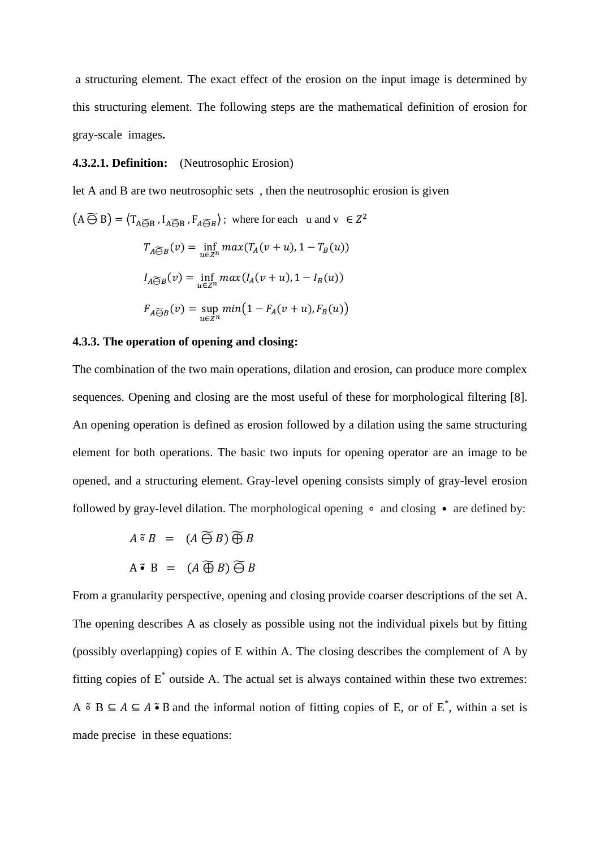a structuring element. The exact effect of the erosion on the input image is determined by this structuring element. The following steps are the mathematical definition of erosion for gray-scale images**.**

## **4.3.2.1. Definition:** (Neutrosophic Erosion)

let A and B are two neutrosophic sets , then the neutrosophic erosion is given

$$
(A \widetilde{\ominus} B) = \langle T_{A \widetilde{\ominus} B}, I_{A \widetilde{\ominus} B}, F_{A \widetilde{\ominus} B} \rangle; \text{ where for each } u \text{ and } v \in Z^2
$$

$$
T_{A \widetilde{\ominus} B}(v) = \inf_{u \in Z^n} \max(T_A(v+u), 1 - T_B(u))
$$

$$
I_{A \widetilde{\ominus} B}(v) = \inf_{u \in Z^n} \max(I_A(v+u), 1 - I_B(u))
$$

$$
F_{A \widetilde{\ominus} B}(v) = \sup_{u \in Z^n} \min(1 - F_A(v+u), F_B(u))
$$

## **4.3.3. The operation of opening and closing:**

The combination of the two main operations, dilation and erosion, can produce more complex sequences. Opening and closing are the most useful of these for morphological filtering [\[8\]](#page-21-6). An opening operation is defined as erosion followed by a dilation using the same structuring element for both operations. The basic two inputs for opening operator are an image to be opened, and a structuring element. Gray-level opening consists simply of gray-level erosion followed by gray-level dilation. The morphological opening ∘ and closing • are defined by:

$$
A \tilde{\circ} B = (A \widetilde{\ominus} B) \widetilde{\oplus} B
$$
  

$$
A \tilde{\bullet} B = (A \widetilde{\oplus} B) \widetilde{\ominus} B
$$

From a granularity perspective, opening and closing provide coarser descriptions of the set A. The opening describes A as closely as possible using not the individual pixels but by fitting (possibly overlapping) copies of E within A. The closing describes the complement of A by fitting copies of  $E^*$  outside A. The actual set is always contained within these two extremes: A  $\tilde{\circ}$  B  $\subseteq$  A  $\subseteq$  A  $\tilde{\bullet}$  B and the informal notion of fitting copies of E, or of E<sup>\*</sup>, within a set is made precise in these equations: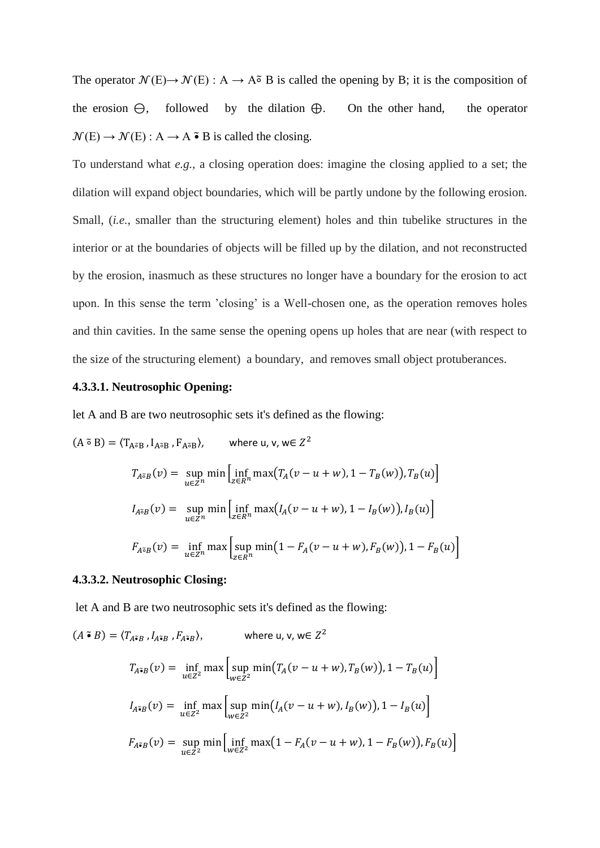The operator  $\mathcal{N}(E) \to \mathcal{N}(E)$ : A  $\to$  A $\tilde{\circ}$  B is called the opening by B; it is the composition of the erosion  $\Theta$ , followed by the dilation  $\Theta$ . On the other hand, the operator  $\mathcal{N}(E) \rightarrow \mathcal{N}(E) : A \rightarrow A \cdot B$  is called the closing.

To understand what *e.g.,* a closing operation does: imagine the closing applied to a set; the dilation will expand object boundaries, which will be partly undone by the following erosion. Small, (*i.e.*, smaller than the structuring element) holes and thin tubelike structures in the interior or at the boundaries of objects will be filled up by the dilation, and not reconstructed by the erosion, inasmuch as these structures no longer have a boundary for the erosion to act upon. In this sense the term 'closing' is a Well-chosen one, as the operation removes holes and thin cavities. In the same sense the opening opens up holes that are near (with respect to the size of the structuring element) a boundary, and removes small object protuberances.

# **4.3.3.1. Neutrosophic Opening:**

let A and B are two neutrosophic sets it's defined as the flowing:

$$
(A \tilde{\sigma} B) = \langle T_{A\tilde{\sigma}B}, I_{A\tilde{\sigma}B}, F_{A\tilde{\sigma}B} \rangle, \quad \text{where } u, v, w \in \mathbb{Z}^2
$$
\n
$$
T_{A\tilde{\sigma}B}(v) = \sup_{u \in \mathbb{Z}^n} \min \Big[ \inf_{z \in R^n} \max \big( T_A(v - u + w), 1 - T_B(w) \big), T_B(u) \Big]
$$
\n
$$
I_{A\tilde{\sigma}B}(v) = \sup_{u \in \mathbb{Z}^n} \min \Big[ \inf_{z \in R^n} \max \big( I_A(v - u + w), 1 - I_B(w) \big), I_B(u) \Big]
$$
\n
$$
F_{A\tilde{\sigma}B}(v) = \inf_{u \in \mathbb{Z}^n} \max \Big[ \sup_{z \in R^n} \min \big( 1 - F_A(v - u + w), F_B(w) \big), 1 - F_B(u) \Big]
$$

# **4.3.3.2. Neutrosophic Closing:**

let A and B are two neutrosophic sets it's defined as the flowing:

$$
(A \cdot B) = \langle T_{A \cdot B}, I_{A \cdot B}, F_{A \cdot B} \rangle, \qquad \text{where } u, v, w \in \mathbb{Z}^2
$$
\n
$$
T_{A \cdot B}(v) = \inf_{u \in \mathbb{Z}^2} \max \left[ \sup_{w \in \mathbb{Z}^2} \min(T_A(v - u + w), T_B(w)), 1 - T_B(u) \right]
$$
\n
$$
I_{A \cdot B}(v) = \inf_{u \in \mathbb{Z}^2} \max \left[ \sup_{w \in \mathbb{Z}^2} \min(I_A(v - u + w), I_B(w)), 1 - I_B(u) \right]
$$
\n
$$
F_{A \cdot B}(v) = \sup_{u \in \mathbb{Z}^2} \min \left[ \inf_{w \in \mathbb{Z}^2} \max(1 - F_A(v - u + w), 1 - F_B(w)), F_B(u) \right]
$$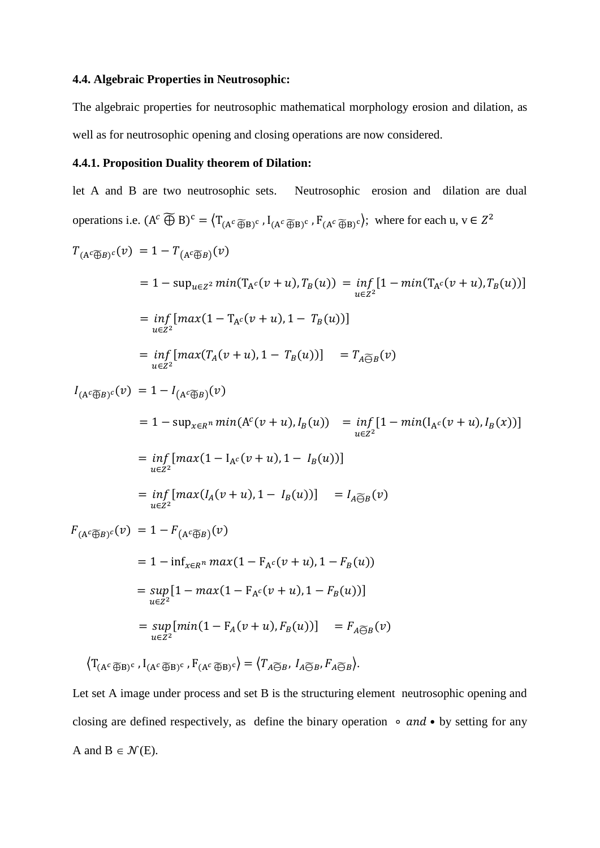# **4.4. Algebraic Properties in Neutrosophic:**

The algebraic properties for neutrosophic mathematical morphology erosion and dilation, as well as for neutrosophic opening and closing operations are now considered.

# **4.4.1. Proposition Duality theorem of Dilation:**

let A and B are two neutrosophic sets. Neutrosophic erosion and dilation are dual operations i.e.  $(A^c \widetilde{\oplus} B)^c = \left\langle T_{(A^c \widetilde{\oplus} B)^c}, I_{(A^c \widetilde{\oplus} B)^c}, F_{(A^c \widetilde{\oplus} B)^c} \right\rangle$ ; where for each u,  $v \in Z^2$ 

$$
T_{(A^c \overline{\oplus} B)^c}(v) = 1 - T_{(A^c \overline{\oplus} B)}(v)
$$
  
\n
$$
= 1 - \sup_{u \in Z^2} \min(T_{A^c}(v+u), T_B(u)) = \inf_{u \in Z^2} [1 - \min(T_{A^c}(v+u), T_B(u))]
$$
  
\n
$$
= \inf_{u \in Z^2} [\max(1 - T_{A^c}(v+u), 1 - T_B(u))]
$$
  
\n
$$
= \inf_{u \in Z^2} [\max(T_A(v+u), 1 - T_B(u))] = T_{A \overline{\ominus} B}(v)
$$
  
\n
$$
I_{(A^c \overline{\oplus} B)^c}(v) = 1 - I_{(A^c \overline{\oplus} B)}(v)
$$
  
\n
$$
= 1 - \sup_{x \in R^n} \min(A^c(v+u), I_B(u)) = \inf_{u \in Z^2} [1 - \min(I_{A^c}(v+u), I_B(x))]
$$
  
\n
$$
= \inf_{u \in Z^2} [\max(1 - I_{A^c}(v+u), 1 - I_B(u))]
$$
  
\n
$$
= \inf_{u \in Z^2} [\max(I_A(v+u), 1 - I_B(u))]
$$
  
\n
$$
= I - \inf_{x \in R^n} \max(I_A(v+u), 1 - I_B(u))]
$$
  
\n
$$
= I - \inf_{x \in R^n} \max(1 - F_{A^c}(v+u), 1 - F_B(u))
$$
  
\n
$$
= \sup_{u \in Z^2} [1 - \max(1 - F_{A^c}(v+u), 1 - F_B(u))]
$$
  
\n
$$
= \sup_{u \in Z^2} [\min(1 - F_A(v+u), F_B(u))]
$$
  
\n
$$
= \sup_{u \in Z^2} [\max(I_A(v+u), 1 - F_B(u))]
$$
  
\n
$$
= \lim_{u \in Z^2} [\max(I_A(v+u), 1 - F_B(u))]
$$
  
\n
$$
= \lim_{u \in Z^2} [\max(I_A(v+u), 1 - F_B(u))]
$$
  
\n
$$
= \lim_{u \in Z^2} [\max(I_A(v+u), 1 - F_B(u)]
$$
  
\n
$$
= \lim_{u \in Z^2} [\
$$

Let set A image under process and set B is the structuring element neutrosophic opening and closing are defined respectively, as define the binary operation ∘ and • by setting for any A and  $B \in \mathcal{N}(E)$ .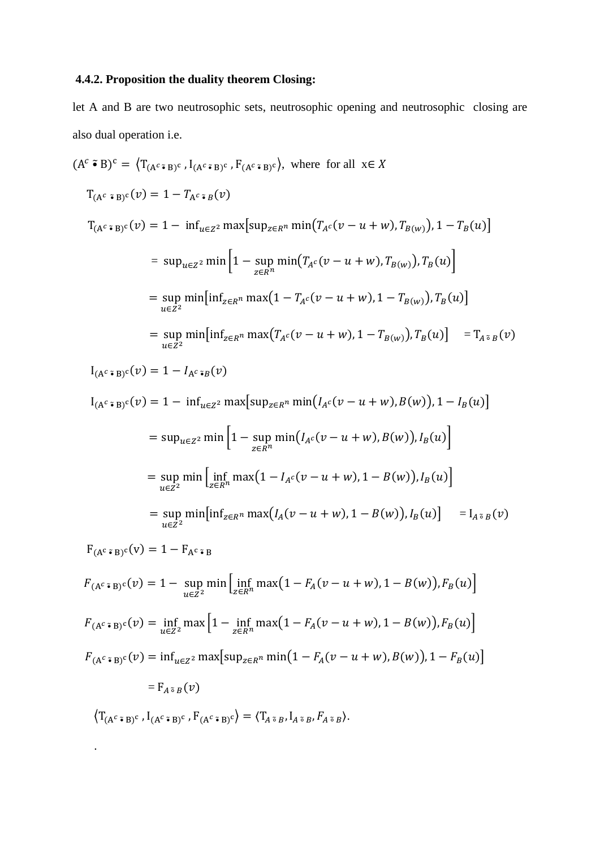# **4.4.2. Proposition the duality theorem Closing:**

let A and B are two neutrosophic sets, neutrosophic opening and neutrosophic closing are also dual operation i.e.

$$
(Ac \cdot B)c = \langle T_{(Ac \cdot B)c}, I_{(Ac \cdot B)c}, F_{(Ac \cdot B)c}\rangle, \text{ where for all } x \in X
$$
  
\n
$$
T_{(Ac \cdot B)c}(v) = 1 - T_{Ac \cdot B}(v)
$$
  
\n
$$
T_{(Ac \cdot B)c}(v) = 1 - \inf_{u \in Z2} \max \{ \sup_{z \in Rn} \min(T_{Ac}(v - u + w), T_{B(w)}), 1 - T_B(u) \}
$$
  
\n
$$
= \sup_{u \in Z2} \min \left[ 1 - \sup_{z \in Rn} \min(T_{Ac}(v - u + w), T_{B(w)}), T_B(u) \right]
$$
  
\n
$$
= \sup_{u \in Z2} \min [\inf_{z \in Rn} \max(T_{Ac}(v - u + w), 1 - T_{B(w)}), T_B(u)]
$$
  
\n
$$
= \sup_{u \in Z2} \min [\inf_{z \in Rn} \max(T_{Ac}(v - u + w), 1 - T_{B(w)}), T_B(u)] = T_{A\approx B}(v)
$$

 $I_{(A^c \cdot B)^c}(v) = 1 - I_{A^c \cdot B}(v)$ 

 $I_{(A^c \cdot B)^c}(v) = 1 - \inf_{u \in Z^2} \max \left[ \sup_{z \in R^n} \min (I_{A^c}(v - u + w), B(w)), 1 - I_B(u) \right]$ 

$$
= \sup_{u \in Z^2} \min \left[ 1 - \sup_{z \in R^n} \min \left( I_{A^c}(v - u + w), B(w) \right), I_B(u) \right]
$$
  
= 
$$
\sup_{u \in Z^2} \min \left[ \inf_{z \in R^n} \max \left( 1 - I_{A^c}(v - u + w), 1 - B(w) \right), I_B(u) \right]
$$
  
= 
$$
\sup_{u \in Z^2} \min \left[ \inf_{z \in R^n} \max \left( I_A(v - u + w), 1 - B(w) \right), I_B(u) \right] = I_{A \tilde{\circ} B}(v)
$$

 $F_{(A^c \cdot B)^c}(v) = 1 - F_{A^c \cdot B}$ 

$$
F_{(A^c \cdot B)^c}(v) = 1 - \sup_{u \in Z^2} \min \Big[ \inf_{z \in R^n} \max(1 - F_A(v - u + w), 1 - B(w)), F_B(u) \Big]
$$
  

$$
F_{(A^c \cdot B)^c}(v) = \inf_{u \in Z^2} \max \Big[ 1 - \inf_{z \in R^n} \max(1 - F_A(v - u + w), 1 - B(w)), F_B(u) \Big]
$$
  

$$
F_{(A^c \cdot B)^c}(v) = \inf_{u \in Z^2} \max \Big[ \sup_{z \in R^n} \min(1 - F_A(v - u + w), B(w)), 1 - F_B(u) \Big]
$$

 $=$   $F_{A \tilde{\circ} B}(v)$ 

.

 $\langle T_{(A^c \cdot B)^c}$  ,  $I_{(A^c \cdot B)^c}$  ,  $F_{(A^c \cdot B)^c} \rangle = \langle T_{A^c \cdot B}$ ,  $I_{A^c \cdot B}$ ,  $F_{A^c \cdot B} \rangle$ .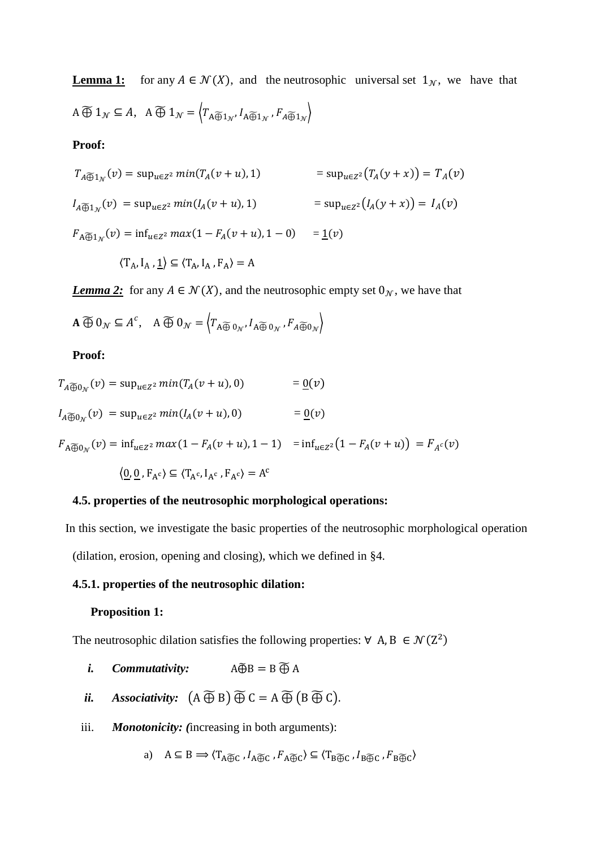**Lemma 1:** for any  $A \in \mathcal{N}(X)$ , and the neutrosophic universal set  $1_N$ , we have that  $A \widetilde{\oplus} 1_{\mathcal{N}} \subseteq A$ ,  $A \widetilde{\oplus} 1_{\mathcal{N}} = \left\langle T_{A \widetilde{\oplus} 1_{\mathcal{N}}}, I_{A \widetilde{\oplus} 1_{\mathcal{N}}}, F_{A \widetilde{\oplus} 1_{\mathcal{N}}} \right\rangle$ 

### **Proof:**

$$
T_{A \widetilde{\oplus} 1_N}(v) = \sup_{u \in Z^2} \min(T_A(v + u), 1) = \sup_{u \in Z^2} (T_A(v + x)) = T_A(v)
$$
  
\n
$$
I_{A \widetilde{\oplus} 1_N}(v) = \sup_{u \in Z^2} \min(I_A(v + u), 1) = \sup_{u \in Z^2} (I_A(v + x)) = I_A(v)
$$
  
\n
$$
F_{A \widetilde{\oplus} 1_N}(v) = \inf_{u \in Z^2} \max(1 - F_A(v + u), 1 - 0) = \underline{1}(v)
$$

$$
\langle T_A, I_A, \underline{1} \rangle \subseteq \langle T_A, I_A, F_A \rangle = A
$$

*Lemma 2:* for any  $A \in \mathcal{N}(X)$ , and the neutrosophic empty set  $0_N$ , we have that

$$
\mathbf{A} \widetilde{\oplus} \mathbf{0}_{\mathcal{N}} \subseteq A^c, \quad \mathbf{A} \widetilde{\oplus} \mathbf{0}_{\mathcal{N}} = \left\langle T_{\mathbf{A} \widetilde{\oplus} \mathbf{0}_{\mathcal{N}}}, I_{\mathbf{A} \widetilde{\oplus} \mathbf{0}_{\mathcal{N}}}, F_{A \widetilde{\oplus} \mathbf{0}_{\mathcal{N}}} \right\rangle
$$

## **Proof:**

 $T_{A\widehat{\oplus}0_{\mathcal{N}}}(v) = \sup_{u\in Z^2} min(T_A(v+u), 0)$  = <u>0(</u>*v*)  $I_{A \widetilde{\oplus} 0_N}(v) = \sup_{u \in Z^2} min(I_A(v+u), 0) = \underline{0}(v)$ 

 $F_{A\overline{\bigoplus}0_{\mathcal{N}}}(v) = \inf_{u \in Z^2} max(1 - F_A(v + u), 1 - 1) = \inf_{u \in Z^2} (1 - F_A(v + u)) = F_{A^c}(v)$ 

$$
\langle \underline{0}, \underline{0}, F_{A^c} \rangle \subseteq \langle T_{A^c}, I_{A^c}, F_{A^c} \rangle = A^c
$$

# **4.5. properties of the neutrosophic morphological operations:**

In this section, we investigate the basic properties of the neutrosophic morphological operation

(dilation, erosion, opening and closing), which we defined in §4.

### **4.5.1. properties of the neutrosophic dilation:**

#### **Proposition 1:**

The neutrosophic dilation satisfies the following properties:  $\forall A, B \in \mathcal{N}(Z^2)$ 

- *i. Commutativity:*  $A\widetilde{\oplus}B = B \widetilde{\oplus} A$
- *ii. Associativity:*  $(A \widetilde{\oplus} B) \widetilde{\oplus} C = A \widetilde{\oplus} (B \widetilde{\oplus} C)$ .
- iii. *Monotonicity: (*increasing in both arguments):

a) 
$$
A \subseteq B \implies \langle T_{A \widetilde{\oplus} C}, I_{A \widetilde{\oplus} C}, F_{A \widetilde{\oplus} C} \rangle \subseteq \langle T_{B \widetilde{\oplus} C}, I_{B \widetilde{\oplus} C}, F_{B \widetilde{\oplus} C} \rangle
$$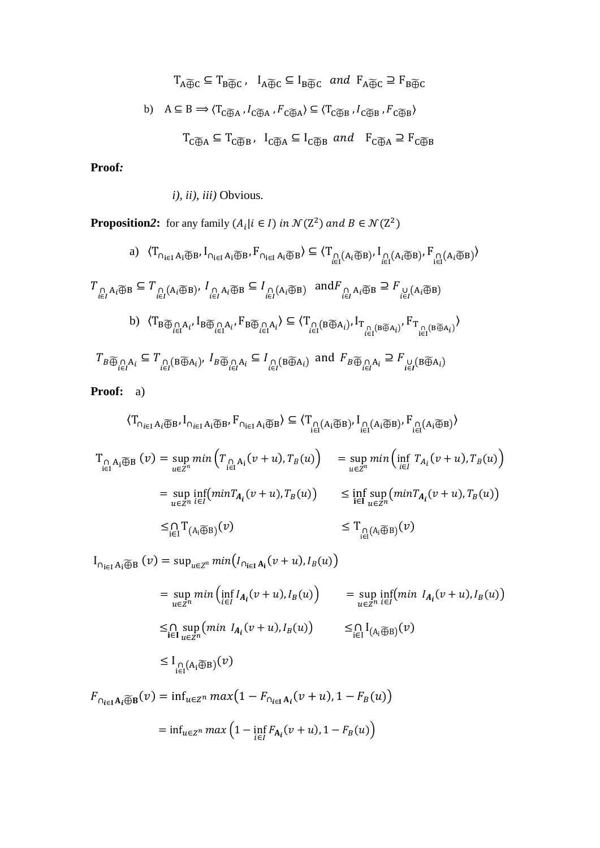$$
T_{A \overline{\oplus} C} \subseteq T_{B \overline{\oplus} C}, \quad I_{A \overline{\oplus} C} \subseteq I_{B \overline{\oplus} C} \quad and \quad F_{A \overline{\oplus} C} \supseteq F_{B \overline{\oplus} C}
$$
  
b) 
$$
A \subseteq B \implies \langle T_{C \overline{\oplus} A}, I_{C \overline{\oplus} A}, F_{C \overline{\oplus} A} \rangle \subseteq \langle T_{C \overline{\oplus} B}, I_{C \overline{\oplus} B}, F_{C \overline{\oplus} B} \rangle
$$
  

$$
T_{C \overline{\oplus} A} \subseteq T_{C \overline{\oplus} B}, \quad I_{C \overline{\oplus} A} \subseteq I_{C \overline{\oplus} B} \quad and \quad F_{C \overline{\oplus} A} \supseteq F_{C \overline{\oplus} B}
$$

**Proof***:*

*i), ii), iii)* Obvious*.*

**Proposition2:** for any family  $(A_i | i \in I)$  in  $\mathcal{N}(Z^2)$  and  $B \in \mathcal{N}(Z^2)$ 

a) 
$$
\langle T_{\bigcap_{i\in I} A_i \widetilde{\oplus} B}, I_{\bigcap_{i\in I} A_i \widetilde{\oplus} B}, F_{\bigcap_{i\in I} A_i \widetilde{\oplus} B} \rangle \subseteq \langle T_{\bigcap_{i\in I} (A_i \widetilde{\oplus} B)}, I_{\bigcap_{i\in I} (A_i \widetilde{\oplus} B)}, F_{\bigcap_{i\in I} (A_i \widetilde{\oplus} B)} \rangle
$$
  
\n $T_{\bigcap_{i\in I} A_i \widetilde{\oplus} B} \subseteq T_{\bigcap_{i\in I} (A_i \widetilde{\oplus} B)}, I_{\bigcap_{i\in I} A_i \widetilde{\oplus} B} \subseteq I_{\bigcap_{i\in I} (A_i \widetilde{\oplus} B)}$  and  $F_{\bigcap_{i\in I} A_i \widetilde{\oplus} B} \supseteq F_{\bigcup_{i\in I} (A_i \widetilde{\oplus} B)}$   
\nb)  $\langle T_{B \widetilde{\oplus}_{i\in I} A_i}, I_{B \widetilde{\oplus}_{i\in I} A_i}, F_{B \widetilde{\oplus}_{i\in I} A_i} \rangle \subseteq \langle T_{\bigcap_{i\in I} (B \widetilde{\oplus} A_i)}, I_{T_{\bigcap_{i\in I} (B \widetilde{\oplus} A_i)}} \rangle F_{T_{\bigcap_{i\in I} (B \widetilde{\oplus} A_i)}}$   
\n $T_{B \widetilde{\oplus}_{i\in I} A_i} \subseteq T_{\bigcap_{i\in I} (B \widetilde{\oplus} A_i)}, I_{B \widetilde{\oplus}_{i\in I} A_i} \subseteq I_{\bigcap_{i\in I} (B \widetilde{\oplus} A_i)}$  and  $F_{B \widetilde{\oplus}_{i\in I} A_i} \supseteq F_{\bigcup_{i\in I} (B \widetilde{\oplus} A_i)}$ 

 **Proof:** a)

 $\leq_{i\in I} \Gamma_{(A_i\widetilde{\oplus}B)}$ 

$$
\langle T_{\bigcap_{i\in I} A_i \widetilde{\bigoplus} B}, I_{\bigcap_{i\in I} A_i \widetilde{\bigoplus} B}, F_{\bigcap_{i\in I} A_i \widetilde{\bigoplus} B}\rangle \subseteq \langle T_{\bigcap_{i\in I} (A_i \widetilde{\bigoplus} B)}, I_{\bigcap_{i\in I} (A_i \widetilde{\bigoplus} B)}, F_{\bigcap_{i\in I} (A_i \widetilde{\bigoplus} B)}\rangle
$$
\n
$$
T_{\bigcap_{i\in I} A_i \widetilde{\bigoplus} B} (v) = \sup_{u \in \mathbb{Z}^n} \min \left( T_{\bigcap_{i\in I} A_i} (v+u), T_B(u) \right) = \sup_{u \in \mathbb{Z}^n} \min \left( \inf_{i\in I} T_{A_i} (v+u), T_B(u) \right)
$$
\n
$$
= \sup_{u \in \mathbb{Z}^n} \inf_{i\in I} (\min T_{A_i} (v+u), T_B(u)) \le \inf_{i\in I} \sup_{u \in \mathbb{Z}^n} (\min T_{A_i} (v+u), T_B(u))
$$

 $I_{\bigcap_{i\in I} A_i\widetilde{\bigoplus} B}(v) = \sup_{u\in Z^n} min(I_{\bigcap_{i\in I} A_i}(v+u), I_B(u))$ 

$$
= \sup_{u \in \mathbb{Z}^n} \min \left( \inf_{i \in I} I_{A_i}(v+u), I_B(u) \right) = \sup_{u \in \mathbb{Z}^n} \inf_{i \in I} (\min I_{A_i}(v+u), I_B(u))
$$
  

$$
\leq \bigcap_{i \in I} \sup_{u \in \mathbb{Z}^n} (\min I_{A_i}(v+u), I_B(u)) \leq \bigcap_{i \in I} I_{(A_i \widetilde{\oplus} B)}(v)
$$
  

$$
\leq I_{\bigcap_{i \in I} (A_i \widetilde{\oplus} B)}(v)
$$

 $(v) \leq T_{\Omega(A_i \widetilde{\oplus} B)}(v)$ 

 $F_{\bigcap_{i\in I}A_i\widetilde{\bigoplus}B}(v) = \inf_{u\in Z^n} max(1 - F_{\bigcap_{i\in I}A_i}(v+u), 1 - F_B(u))$  $= \inf_{u \in Z^n} max\left(1 - \inf_{i \in I} F_{A_i}(v + u), 1 - F_B(u)\right)$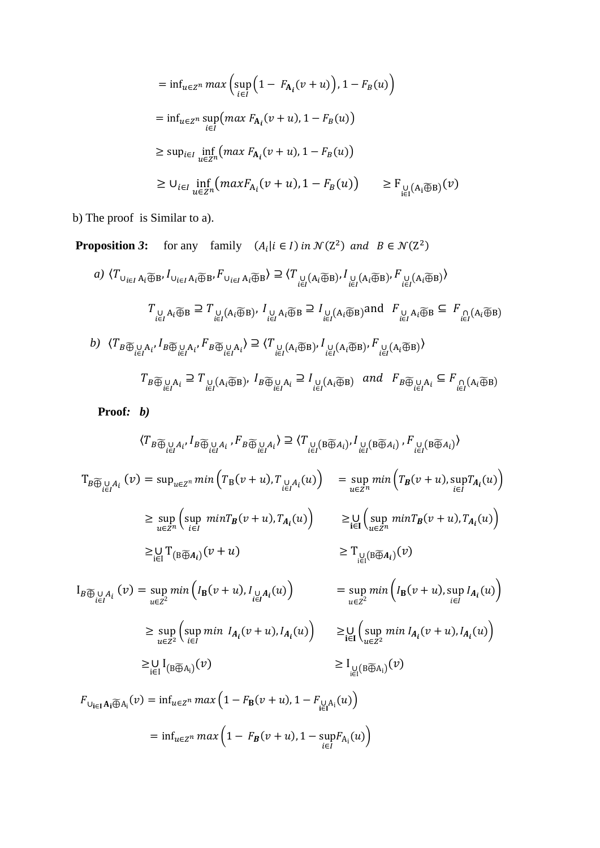$$
= \inf_{u \in Z^n} \max \left( \sup_{i \in I} \left( 1 - F_{A_i}(v + u) \right), 1 - F_B(u) \right)
$$
  
\n
$$
= \inf_{u \in Z^n} \sup_{i \in I} \left( \max F_{A_i}(v + u), 1 - F_B(u) \right)
$$
  
\n
$$
\geq \sup_{i \in I} \inf_{u \in Z^n} \left( \max F_{A_i}(v + u), 1 - F_B(u) \right)
$$
  
\n
$$
\geq \bigcup_{i \in I} \inf_{u \in Z^n} \left( \max F_{A_i}(v + u), 1 - F_B(u) \right) \geq F_{\bigcup_{i \in I} \left( A_i \widetilde{\oplus} B \right)}(v)
$$

b) The proof is Similar to a).

**Proposition 3:** for any family  $(A_i | i \in I)$  in  $\mathcal{N}(Z^2)$  and  $B \in \mathcal{N}(Z^2)$ 

a) 
$$
\langle T_{\bigcup_{i\in I} A_i \widetilde{\bigoplus} B} , I_{\bigcup_{i\in I} A_i \widetilde{\bigoplus} B} , F_{\bigcup_{i\in I} A_i \widetilde{\bigoplus} B} \rangle \supseteq \langle T_{\bigcup_{i\in I} (A_i \widetilde{\bigoplus} B)} , I_{\bigcup_{i\in I} (A_i \widetilde{\bigoplus} B)} , F_{\bigcup_{i\in I} (A_i \widetilde{\bigoplus} B)} \rangle
$$
  
\n
$$
T_{\bigcup_{i\in I} A_i \widetilde{\bigoplus} B} \supseteq T_{\bigcup_{i\in I} (A_i \widetilde{\bigoplus} B)} , I_{\bigcup_{i\in I} A_i \widetilde{\bigoplus} B} \supseteq I_{\bigcup_{i\in I} (A_i \widetilde{\bigoplus} B)} \text{and } F_{\bigcup_{i\in I} A_i \widetilde{\bigoplus} B} \subseteq F_{\bigcap_{i\in I} (A_i \widetilde{\bigoplus} B)}
$$
  
\nb)  $\langle T_B \widetilde{\bigoplus}_{i\in I} A_i, I_B \widetilde{\bigoplus}_{i\in I} A_i, F_B \widetilde{\bigoplus}_{i\in I} A_i \rangle \supseteq \langle T_{\bigcup_{i\in I} (A_i \widetilde{\bigoplus} B)} , I_{\bigcup_{i\in I} (A_i \widetilde{\bigoplus} B)} , F_{\bigcup_{i\in I} (A_i \widetilde{\bigoplus} B)} \rangle$   
\n
$$
T_B \widetilde{\bigoplus}_{i\in I} A_i \supseteq T_{\bigcup_{i\in I} (A_i \widetilde{\bigoplus} B)} , I_B \widetilde{\bigoplus}_{i\in I} A_i \supseteq I_{\bigcup_{i\in I} (A_i \widetilde{\bigoplus} B)} \text{ and } F_B \widetilde{\bigoplus}_{i\in I} A_i \subseteq F_{\bigcap_{i\in I} (A_i \widetilde{\bigoplus} B)}
$$

**Proof***: b)*

$$
\langle T_{B} \overline{\bigoplus}_{i \in I} I_{i} \cdot I_{B} \overline{\bigoplus}_{i \in I} I_{i} \cdot F_{B} \overline{\bigoplus}_{i \in I} I_{i} \rangle \supseteq \langle T_{\bigcup_{i \in I} (\text{B} \overline{\bigoplus}_{A_{i}})} \cdot I_{\bigcup_{i \in I} (\text{B} \overline{\bigoplus}_{A_{i}})} \cdot F_{\bigcup_{i \in I} (\text{B} \overline{\bigoplus}_{A_{i}})} \rangle
$$
\n
$$
T_{B} \overline{\bigoplus}_{i \in I} I_{i} (v) = \sup_{u \in \mathbb{Z}^{n}} \min \Big( T_{B}(v+u), T_{\bigcup_{i \in I} A_{i}}(u) \Big) = \sup_{u \in \mathbb{Z}^{n}} \min \Big( T_{B}(v+u), \sup_{i \in I} T_{A_{i}}(u) \Big)
$$
\n
$$
\geq \sup_{u \in \mathbb{Z}^{n}} \Big( \sup_{i \in I} \min T_{B}(v+u), T_{A_{i}}(u) \Big) \geq \bigcup_{i \in I} \Big( \sup_{u \in \mathbb{Z}^{n}} \min T_{B}(v+u), T_{A_{i}}(u) \Big)
$$
\n
$$
\geq \bigcup_{i \in I} T_{\bigoplus_{i \in I} A_{i}}(v+u) \qquad \geq T_{\bigcup_{i \in I} (\text{B} \overline{\bigoplus}_{A_{i}})}(v)
$$
\n
$$
I_{B} \overline{\bigoplus}_{i \in I} I_{i} (v) = \sup_{u \in \mathbb{Z}^{2}} \min \Big( I_{B}(v+u), I_{\bigcup_{i \in I} A_{i}}(u) \Big) = \sup_{u \in \mathbb{Z}^{2}} \min \Big( I_{B}(v+u), \sup_{i \in I} I_{A_{i}}(u) \Big)
$$
\n
$$
\geq \sup_{u \in \mathbb{Z}^{2}} \Big( \sup_{i \in I} \min I_{A_{i}}(v+u), I_{A_{i}}(u) \Big) \geq \bigcup_{i \in I} \Big( \sup_{u \in \mathbb{Z}^{2}} \min I_{A_{i}}(v+u), I_{A_{i}}(u) \Big)
$$
\n
$$
I_{\bigcup_{i \in
$$

$$
= \inf_{u \in \mathbb{Z}^n} max \left( 1 - F_{\mathbf{B}}(v+u), 1 - \sup_{i \in I} F_{A_i}(u) \right)
$$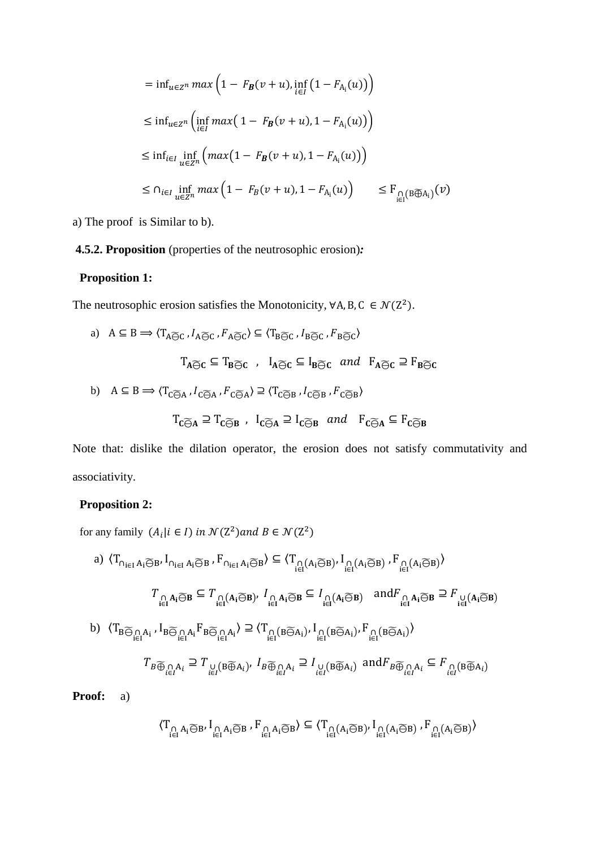$$
= \inf_{u \in Z^n} \max\left(1 - F_B(v+u), \inf_{i \in I} (1 - F_{A_i}(u))\right)
$$
  
\n
$$
\leq \inf_{u \in Z^n} \left(\inf_{i \in I} \max\left(1 - F_B(v+u), 1 - F_{A_i}(u)\right)\right)
$$
  
\n
$$
\leq \inf_{i \in I} \inf_{u \in Z^n} \left(\max\left(1 - F_B(v+u), 1 - F_{A_i}(u)\right)\right)
$$
  
\n
$$
\leq \bigcap_{i \in I} \inf_{u \in Z^n} \max\left(1 - F_B(v+u), 1 - F_{A_i}(u)\right) \leq F_{\bigcap_{i \in I} (B \widetilde{\bigoplus} A_i)}(v)
$$

a) The proof is Similar to b).

# **4.5.2. Proposition** (properties of the neutrosophic erosion)*:*

# **Proposition 1:**

The neutrosophic erosion satisfies the Monotonicity,  $\forall A, B, C \in \mathcal{N}(Z^2)$ .

a) 
$$
A \subseteq B \implies \langle T_{A \widetilde{\ominus} C}, I_{A \widetilde{\ominus} C}, F_{A \widetilde{\ominus} C} \rangle \subseteq \langle T_{B \widetilde{\ominus} C}, I_{B \widetilde{\ominus} C}, F_{B \widetilde{\ominus} C} \rangle
$$
  
\n $T_{A \widetilde{\ominus} C} \subseteq T_{B \widetilde{\ominus} C}$ ,  $I_{A \widetilde{\ominus} C} \subseteq I_{B \widetilde{\ominus} C}$  and  $F_{A \widetilde{\ominus} C} \supseteq F_{B \widetilde{\ominus} C}$   
\nb)  $A \subseteq B \implies \langle T_{C \widetilde{\ominus} A}, I_{C \widetilde{\ominus} A}, F_{C \widetilde{\ominus} A} \rangle \supseteq \langle T_{C \widetilde{\ominus} B}, I_{C \widetilde{\ominus} B}, F_{C \widetilde{\ominus} B} \rangle$   
\n $T_{C \widetilde{\ominus} A} \supseteq T_{C \widetilde{\ominus} B}$ ,  $I_{C \widetilde{\ominus} A} \supseteq I_{C \widetilde{\ominus} B}$  and  $F_{C \widetilde{\ominus} A} \subseteq F_{C \widetilde{\ominus} B}$ 

Note that: dislike the dilation operator, the erosion does not satisfy commutativity and associativity.

# **Proposition 2:**

for any family  $(A_i | i \in I)$  in  $\mathcal{N}(Z^2)$  and  $B \in \mathcal{N}(Z^2)$ 

a) 
$$
\langle T_{\bigcap_{i\in I} A_i \widetilde{\ominus} B}, I_{\bigcap_{i\in I} A_i \widetilde{\ominus} B}, F_{\bigcap_{i\in I} A_i \widetilde{\ominus} B}\rangle \subseteq \langle T_{\bigcap_{i\in I} (A_i \widetilde{\ominus} B)}, I_{\bigcap_{i\in I} (A_i \widetilde{\ominus} B)}, F_{\bigcap_{i\in I} (A_i \widetilde{\ominus} B)}\rangle
$$
  
\n $T_{\bigcap_{i\in I} A_i \widetilde{\ominus} B} \subseteq T_{\bigcap_{i\in I} (A_i \widetilde{\ominus} B)}, I_{\bigcap_{i\in I} A_i \widetilde{\ominus} B} \subseteq I_{\bigcap_{i\in I} (A_i \widetilde{\ominus} B)}$  and  $F_{\bigcap_{i\in I} A_i \widetilde{\ominus} B} \supseteq F_{\bigcup_{i\in I} (A_i \widetilde{\ominus} B)}$   
\nb)  $\langle T_{B \widetilde{\ominus}_{i\in I} A_i}, I_{B \widetilde{\ominus}_{i\in I} A_i} F_{B \widetilde{\ominus}_{i\in I} A_i} \rangle \supseteq \langle T_{\bigcap_{i\in I} (B \widetilde{\ominus} A_i)}, I_{\bigcap_{i\in I} (B \widetilde{\ominus} A_i)}, F_{\bigcap_{i\in I} (B \widetilde{\ominus} A_i)}\rangle$   
\n $T_{B \widetilde{\oplus}_{i\in I} A_i} \supseteq T_{\bigcup_{i\in I} (B \widetilde{\oplus} A_i)}, I_{B \widetilde{\oplus}_{i\in I} A_i} \supseteq I_{\bigcup_{i\in I} (B \widetilde{\oplus} A_i)}$  and  $F_{B \widetilde{\oplus}_{i\in I} A_i} \subseteq F_{\bigcap_{i\in I} (B \widetilde{\oplus} A_i)}$ 

**Proof:** a)

$$
\langle T_{\underset{i\in I}{\cap}A_i\widetilde{\ominus} B}, I_{\underset{i\in I}{\cap}A_i\widetilde{\ominus} B}, F_{\underset{i\in I}{\cap}A_i\widetilde{\ominus} B}\rangle\subseteq \langle T_{\underset{i\in I}{\cap}(A_i\widetilde{\ominus} B)}, I_{\underset{i\in I}{\cap}(A_i\widetilde{\ominus} B)}, F_{\underset{i\in I}{\cap}(A_i\widetilde{\ominus} B)}\rangle
$$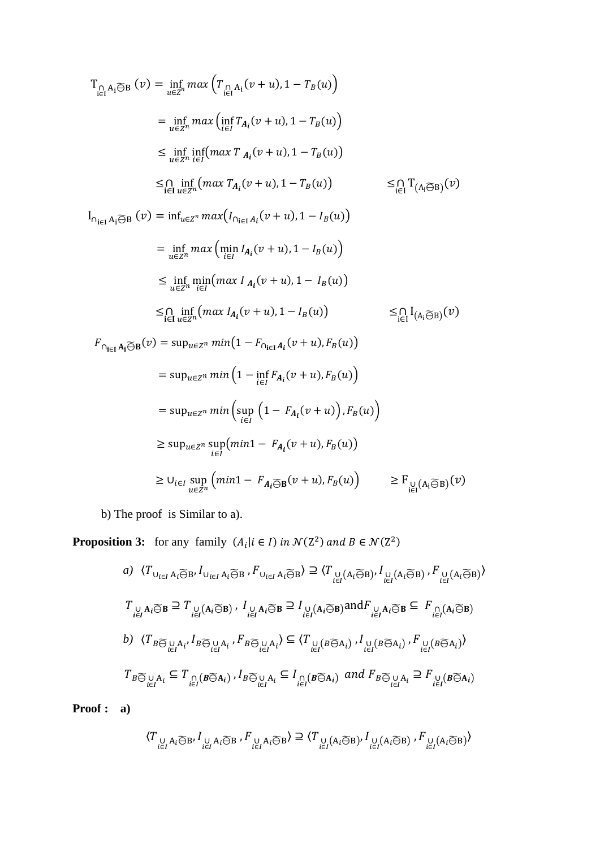$$
T_{\bigcap_{i\in I} A_i \widetilde{\Theta} B}(v) = \inf_{u\in Z^n} \max\left(T_{\bigcap_{i\in I} A_i}(v+u), 1 - T_B(u)\right)
$$
  
\n
$$
= \inf_{u\in Z^n} \max\left(\inf_{i\in I} T_{A_i}(v+u), 1 - T_B(u)\right)
$$
  
\n
$$
\leq \inf_{u\in Z^n} \inf_{i\in I} (\max T_{A_i}(v+u), 1 - T_B(u))
$$
  
\n
$$
\leq \bigcap_{i\in I} \inf_{u\in Z^n} (\max T_{A_i}(v+u), 1 - T_B(u))
$$
  
\n
$$
= \bigcap_{i\in I} \inf_{u\in Z^n} (\max T_{A_i}(v+u), 1 - T_B(u))
$$
  
\n
$$
= \inf_{u\in Z^n} \max\left(\min_{i\in I} I_{A_i}(v+u), 1 - I_B(u)\right)
$$
  
\n
$$
\leq \inf_{u\in Z^n} \min_{i\in I} (\max I_{A_i}(v+u), 1 - I_B(u))
$$
  
\n
$$
\leq \inf_{i\in I} \min_{u\in Z^n} (\max I_{A_i}(v+u), 1 - I_B(u))
$$
  
\n
$$
\leq \inf_{i\in I} (\max T_{A_i}(v+u), 1 - I_B(u))
$$
  
\n
$$
= \sup_{u\in Z^n} (\max T_{A_i}(v+u), 1 - I_B(u))
$$
  
\n
$$
= \sup_{u\in Z^n} (\max T_{A_i}(v+u), 1 - I_B(u))
$$
  
\n
$$
= \sup_{u\in Z^n} \min\left(1 - \inf_{i\in I} F_{A_i}(v+u), F_B(u)\right)
$$
  
\n
$$
= \sup_{u\in Z^n} \min\left(\sup_{i\in I} (1 - F_{A_i}(v+u), F_B(u))\right)
$$
  
\n
$$
\geq \sup_{u\in Z^n} (\min T - F_{A_i}(v+u), F_B(u))
$$
  
\n
$$
\geq U_{i\in I} \sup_{u\in Z^n} (\min T - F_{A_i}(v+u), F_B(u))
$$
  
\n
$$
\geq U_{i\in I} \sup_{u\in Z^n} (\min T - F_{A
$$

b) The proof is Similar to a).

**Proposition 3:** for any family  $(A_i | i \in I)$  in  $\mathcal{N}(Z^2)$  and  $B \in \mathcal{N}(Z^2)$ 

a) 
$$
\langle T_{\bigcup_{i\in I} A_i \widetilde{\Theta} B}, I_{\bigcup_{i\in I} A_i \widetilde{\Theta} B}, F_{\bigcup_{i\in I} A_i \widetilde{\Theta} B}\rangle \supseteq \langle T_{\bigcup_{i\in I} (A_i \widetilde{\Theta} B)}, I_{\bigcup_{i\in I} (A_i \widetilde{\Theta} B)}, F_{\bigcup_{i\in I} (A_i \widetilde{\Theta} B)}\rangle
$$
  
\n $T_{\bigcup_{i\in I} A_i \widetilde{\Theta} B} \supseteq T_{\bigcup_{i\in I} (A_i \widetilde{\Theta} B)}, I_{\bigcup_{i\in I} A_i \widetilde{\Theta} B} \supseteq I_{\bigcup_{i\in I} (A_i \widetilde{\Theta} B)} \text{and} F_{\bigcup_{i\in I} A_i \widetilde{\Theta} B} \subseteq F_{\bigcap_{i\in I} (A_i \widetilde{\Theta} B)}$   
\nb)  $\langle T_{B \widetilde{\Theta}} \bigcup_{i\in I} A_{i}, I_{B \widetilde{\Theta}} \bigcup_{i\in I} A_i, F_{B \widetilde{\Theta}} \bigcup_{i\in I} A_i \rangle \subseteq \langle T_{\bigcup_{i\in I} (B \widetilde{\Theta} A_i)}, I_{\bigcup_{i\in I} (B \widetilde{\Theta} A_i)}, F_{\bigcup_{i\in I} (B \widetilde{\Theta} A_i)}\rangle$   
\n $T_{B \widetilde{\Theta}} \bigcup_{i\in I} A_i \subseteq T_{\bigcap_{i\in I} (B \widetilde{\Theta} A_i)}, I_B \widetilde{\Theta} \bigcup_{i\in I} A_i \subseteq I_{\bigcap_{i\in I} (B \widetilde{\Theta} A_i)} \text{ and } F_{B \widetilde{\Theta}} \bigcup_{i\in I} A_i \supseteq F_{\bigcup_{i\in I} (B \widetilde{\Theta} A_i)}$ 

**Proof : a)**

$$
\langle T_{\underset{i\in I}{\cup}A_i\widetilde{\ominus}B}, I_{\underset{i\in I}{\cup}A_i\widetilde{\ominus}B}, F_{\underset{i\in I}{\cup}A_i\widetilde{\ominus}B}\rangle \supseteq \langle T_{\underset{i\in I}{\cup}(A_i\widetilde{\ominus}B)}, I_{\underset{i\in I}{\cup}(A_i\widetilde{\ominus}B)}, F_{\underset{i\in I}{\cup}(A_i\widetilde{\ominus}B)}\rangle
$$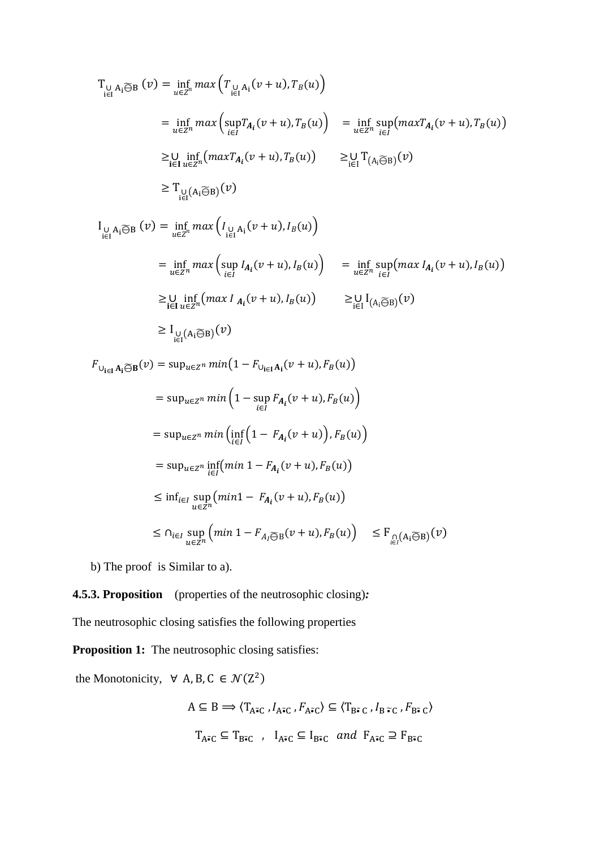$$
T_{\bigcup_{i\in I} A_i \widetilde{\ominus} B}(v) = \inf_{u\in Z^n} \max\left(T_{\bigcup_{i\in I} A_i}(v+u), T_B(u)\right)
$$
  
\n
$$
= \inf_{u\in Z^n} \max\left(\sup_{i\in I} T_{A_i}(v+u), T_B(u)\right) = \inf_{u\in Z^n} \sup_{i\in I} (\max T_{A_i}(v+u), T_B(u))
$$
  
\n
$$
\geq \bigcup_{i\in I} \inf_{u\in Z^n} (\max T_{A_i}(v+u), T_B(u)) \geq \bigcup_{i\in I} T_{(A_i \widetilde{\ominus} B)}(v)
$$
  
\n
$$
\geq T_{\bigcup_{i\in I} (A_i \widetilde{\ominus} B)}(v)
$$
  
\n
$$
I_{\bigcup_{i\in I} A_i \widetilde{\ominus} B}(v) = \inf_{u\in Z^n} \max\left(I_{\bigcup_{i\in I} A_i}(v+u), I_B(u)\right)
$$
  
\n
$$
= \inf_{u\in Z^n} \max\left(\sup_{i\in I} I_{A_i}(v+u), I_B(u)\right) = \inf_{u\in Z^n} \sup_{i\in I} (\max I_{A_i}(v+u), I_B(u))
$$
  
\n
$$
\geq \bigcup_{i\in I} \inf_{u\in Z^n} (\max I_{A_i}(v+u), I_B(u)) \geq \bigcup_{i\in I} I_{(A_i \widetilde{\ominus} B)}(v)
$$
  
\n
$$
\geq I_{\bigcup_{i\in I} (A_i \widetilde{\ominus} B)}(v)
$$

 $F_{\bigcup_{i\in I} A_i \widetilde{\ominus} B}(v) = \sup_{u\in Z^n} min(1 - F_{\bigcup_{i\in I} A_i}(v+u), F_B(u))$  $= \sup_{u \in Z^n} min\left(1 - \sup_{u \in Z^n}$ sup  $F_{A_i}(v+u)$ ,  $F_B(u)$ )  $= \sup_{u \in \mathbb{Z}^n} min\left(\inf_{i \in I} \left(1 - F_{A_i}(v+u)\right), F_B(u)\right)$  $= \sup_{u \in \mathbb{Z}^n} \inf_{i \in I} (min \ 1 - F_{A_i}(v + u), F_B(u))$  $\leq \inf_{u \in \mathbb{Z}^n} \sup_{u \in \mathbb{Z}^n} (min1 - F_{A_i}(v + u), F_B(u))$  $\leq \bigcap_{i \in I} \sup_{u \in \mathbb{Z}^n} \left( \min \, 1 - F_{A_i \widetilde{\ominus} B}(v + u), F_B(u) \right) \leq F_{\bigcap \limits_{i \in I} \left( A_i \widetilde{\ominus} B \right)}(v)$ 

b) The proof is Similar to a).

## **4.5.3. Proposition** (properties of the neutrosophic closing)*:*

The neutrosophic closing satisfies the following properties

**Proposition 1:** The neutrosophic closing satisfies:

the Monotonicity,  $\forall A, B, C \in \mathcal{N}(Z^2)$  $A \subseteq B \Longrightarrow \langle T_{A\tilde{\bullet}C} , I_{A\tilde{\bullet}C} , F_{A\tilde{\bullet}C} \rangle \subseteq \langle T_{B\tilde{\bullet}C} , I_{B\tilde{\bullet}C} , F_{B\tilde{\bullet}C} \rangle$  $\mathbf{T}_{A\tilde{\bullet}\mathsf{C}}\subseteq\mathbf{T}_{\mathsf{B}\tilde{\bullet}\mathsf{C}}\;\;,\;\;\mathbf{I}_{A\tilde{\bullet}\mathsf{C}}\subseteq\mathbf{I}_{\mathsf{B}\tilde{\bullet}\mathsf{C}}\;\;and\;\;\mathbf{F}_{A\tilde{\bullet}\mathsf{C}}\supseteq\mathbf{F}_{\mathsf{B}\tilde{\bullet}\mathsf{C}}$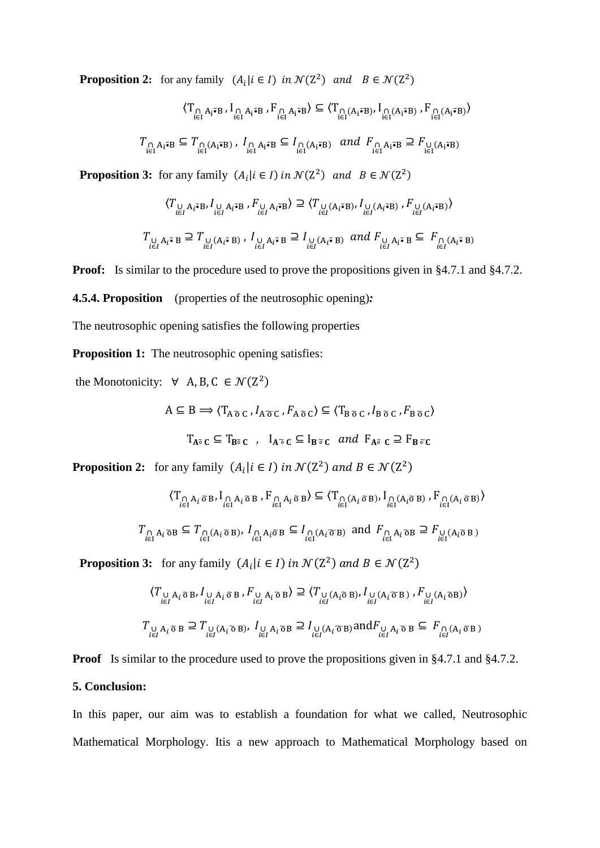**Proposition 2:** for any family  $(A_i | i \in I)$  in  $\mathcal{N}(Z^2)$  and  $B \in \mathcal{N}(Z^2)$ 

$$
\langle T_{\underset{i\in I}{\cap}A_{i}\tilde{\bullet}B}, I_{\underset{i\in I}{\cap}A_{i}\tilde{\bullet}B}, F_{\underset{i\in I}{\cap}A_{i}\tilde{\bullet}B} \rangle \subseteq \langle T_{\underset{i\in I}{\cap}(A_{i}\tilde{\bullet}B)}, I_{\underset{i\in I}{\cap}(A_{i}\tilde{\bullet}B)}, F_{\underset{i\in I}{\cap}(A_{i}\tilde{\bullet}B)} \rangle
$$
  

$$
T_{\underset{i\in I}{\cap}A_{i}\tilde{\bullet}B} \subseteq T_{\underset{i\in I}{\cap}(A_{i}\tilde{\bullet}B)}, I_{\underset{i\in I}{\cap}A_{i}\tilde{\bullet}B} \subseteq I_{\underset{i\in I}{\cap}(A_{i}\tilde{\bullet}B)} \text{ and } F_{\underset{i\in I}{\cap}A_{i}\tilde{\bullet}B} \supseteq F_{\underset{i\in I}{\cup}(A_{i}\tilde{\bullet}B)}
$$

**Proposition 3:** for any family  $(A_i | i \in I)$  in  $\mathcal{N}(Z^2)$  and  $B \in \mathcal{N}(Z^2)$ 

$$
\langle T_{\bigcup_{i\in I}A_i\tilde{\bullet}B}, I_{\bigcup_{i\in I}A_i\tilde{\bullet}B}, F_{\bigcup_{i\in I}A_i\tilde{\bullet}B} \rangle \supseteq \langle T_{\bigcup_{i\in I}(A_i\tilde{\bullet}B)}, I_{\bigcup_{i\in I}(A_i\tilde{\bullet}B)}, F_{\bigcup_{i\in I}(A_i\tilde{\bullet}B)} \rangle
$$
  

$$
T_{\bigcup_{i\in I}A_i\tilde{\bullet}B} \supseteq T_{\bigcup_{i\in I}(A_i\tilde{\bullet}B)}, I_{\bigcup_{i\in I}A_i\tilde{\bullet}B} \supseteq I_{\bigcup_{i\in I}(A_i\tilde{\bullet}B)} \text{ and } F_{\bigcup_{i\in I}A_i\tilde{\bullet}B} \subseteq F_{\bigcap_{i\in I}(A_i\tilde{\bullet}B)}
$$

**Proof:** Is similar to the procedure used to prove the propositions given in §4.7.1 and §4.7.2.

**4.5.4. Proposition** (properties of the neutrosophic opening)*:*

The neutrosophic opening satisfies the following properties

**Proposition 1:** The neutrosophic opening satisfies:

the Monotonicity:  $\forall$  A, B, C  $\in \mathcal{N}(Z^2)$ 

$$
A \subseteq B \implies \langle T_{A \tilde{\sigma} C}, I_{A \tilde{\sigma} C}, F_{A \tilde{\sigma} C} \rangle \subseteq \langle T_{B \tilde{\sigma} C}, I_{B \tilde{\sigma} C}, F_{B \tilde{\sigma} C} \rangle
$$
  

$$
T_{A \tilde{\sigma} C} \subseteq T_{B \tilde{\sigma} C}, \quad I_{A \tilde{\sigma} C} \subseteq I_{B \tilde{\sigma} C} \text{ and } F_{A \tilde{\sigma} C} \supseteq F_{B \tilde{\sigma} C}
$$

**Proposition 2:** for any family  $(A_i | i \in I)$  in  $\mathcal{N}(Z^2)$  and  $B \in \mathcal{N}(Z^2)$ 

$$
\langle T_{\underset{i\in I}{\cap}A_{i}\tilde{\sigma}B}, I_{\underset{i\in I}{\cap}A_{i}\tilde{\sigma}B}, F_{\underset{i\in I}{\cap}A_{i}\tilde{\sigma}B} \rangle \subseteq \langle T_{\underset{i\in I}{\cap}(A_{i}\tilde{\sigma}B)}, I_{\underset{i\in I}{\cap}(A_{i}\tilde{\sigma}B)}, F_{\underset{i\in I}{\cap}(A_{i}\tilde{\sigma}B)} \rangle
$$
  

$$
T_{\underset{i\in I}{\cap}A_{i}\tilde{\sigma}B} \subseteq T_{\underset{i\in I}{\cap}(A_{i}\tilde{\sigma}B)}, I_{\underset{i\in I}{\cap}A_{i}\tilde{\sigma}B} \subseteq I_{\underset{i\in I}{\cap}(A_{i}\tilde{\sigma}B)} \text{ and } F_{\underset{i\in I}{\cap}A_{i}\tilde{\sigma}B} \supseteq F_{\underset{i\in I}{\cup}(A_{i}\tilde{\sigma}B)}
$$

**Proposition 3:** for any family  $(A_i | i \in I)$  in  $\mathcal{N}(Z^2)$  and  $B \in \mathcal{N}(Z^2)$ 

$$
\langle T_{\bigcup_{i\in I}A_i\tilde{\sigma}B}, I_{\bigcup_{i\in I}A_i\tilde{\sigma}B}, F_{\bigcup_{i\in I}A_i\tilde{\sigma}B}\rangle \supseteq \langle T_{\bigcup_{i\in I}(A_i\tilde{\sigma}B)}, I_{\bigcup_{i\in I}(A_i\tilde{\sigma}B)}, F_{\bigcup_{i\in I}(A_i\tilde{\sigma}B)}\rangle
$$
  

$$
T_{\bigcup_{i\in I}A_i\tilde{\sigma}B} \supseteq T_{\bigcup_{i\in I}(A_i\tilde{\sigma}B)}, I_{\bigcup_{i\in I}A_i\tilde{\sigma}B} \supseteq I_{\bigcup_{i\in I}(A_i\tilde{\sigma}B)} \text{and} F_{\bigcup_{i\in I}A_i\tilde{\sigma}B} \subseteq F_{\bigcap_{i\in I}(A_i\tilde{\sigma}B)}
$$

**Proof** Is similar to the procedure used to prove the propositions given in §4.7.1 and §4.7.2.

# **5. Conclusion:**

In this paper, our aim was to establish a foundation for what we called, Neutrosophic Mathematical Morphology. Itis a new approach to Mathematical Morphology based on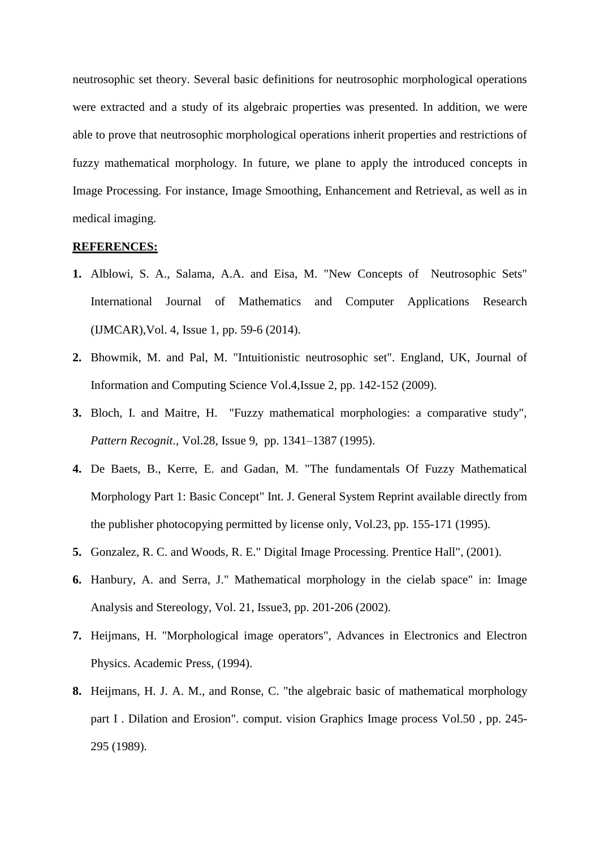neutrosophic set theory. Several basic definitions for neutrosophic morphological operations were extracted and a study of its algebraic properties was presented. In addition, we were able to prove that neutrosophic morphological operations inherit properties and restrictions of fuzzy mathematical morphology. In future, we plane to apply the introduced concepts in Image Processing. For instance, Image Smoothing, Enhancement and Retrieval, as well as in medical imaging.

## **REFERENCES:**

- <span id="page-21-7"></span>**1.** Alblowi, S. A., Salama, A.A. and Eisa, M. "New Concepts of Neutrosophic Sets" International Journal of Mathematics and Computer Applications Research (IJMCAR),Vol. 4, Issue 1, pp. 59-6 (2014).
- <span id="page-21-4"></span>**2.** Bhowmik, M. and Pal, M. "Intuitionistic neutrosophic set". England, UK, Journal of Information and Computing Science Vol.4,Issue 2, pp. 142-152 (2009).
- <span id="page-21-1"></span>**3.** Bloch, I. and Maitre, H. "Fuzzy mathematical morphologies: a comparative study", *Pattern Recognit.*, Vol.28, Issue 9, pp. 1341–1387 (1995).
- <span id="page-21-2"></span>**4.** De Baets, B., Kerre, E. and Gadan, M. "The fundamentals Of Fuzzy Mathematical Morphology Part 1: Basic Concept" Int. J. General System Reprint available directly from the publisher photocopying permitted by license only, Vol.23, pp. 155-171 (1995).
- <span id="page-21-5"></span>**5.** Gonzalez, R. C. and Woods, R. E." Digital Image Processing. Prentice Hall", (2001).
- <span id="page-21-3"></span>**6.** Hanbury, A. and Serra, J." Mathematical morphology in the cielab space" in: Image Analysis and Stereology, Vol. 21, Issue3, pp. 201-206 (2002).
- <span id="page-21-0"></span>**7.** Heijmans, H. "Morphological image operators", Advances in Electronics and Electron Physics. Academic Press, (1994).
- <span id="page-21-6"></span>**8.** Heijmans, H. J. A. M., and Ronse, C. "the algebraic basic of mathematical morphology part I . Dilation and Erosion". comput. vision Graphics Image process Vol.50 , pp. 245- 295 (1989).